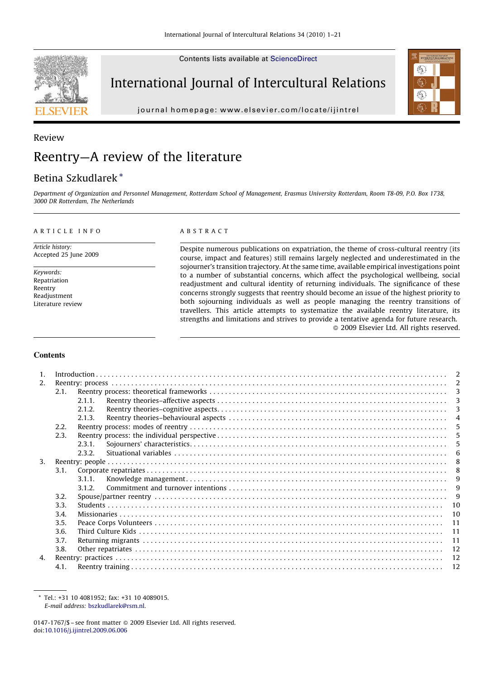Contents lists available at [ScienceDirect](http://www.sciencedirect.com/science/journal/01471767)



International Journal of Intercultural Relations

journal homepage: www.elsevier.com/locate/ijintrel



# Review Reentry—A review of the literature

# Betina Szkudlarek \*

Department of Organization and Personnel Management, Rotterdam School of Management, Erasmus University Rotterdam, Room T8-09, P.O. Box 1738, 3000 DR Rotterdam, The Netherlands

#### ARTICLE INFO

Article history: Accepted 25 June 2009

Keywords: Repatriation Reentry Readjustment Literature review

#### ABSTRACT

Despite numerous publications on expatriation, the theme of cross-cultural reentry (its course, impact and features) still remains largely neglected and underestimated in the sojourner's transition trajectory. At the same time, available empirical investigations point to a number of substantial concerns, which affect the psychological wellbeing, social readjustment and cultural identity of returning individuals. The significance of these concerns strongly suggests that reentry should become an issue of the highest priority to both sojourning individuals as well as people managing the reentry transitions of travellers. This article attempts to systematize the available reentry literature, its strengths and limitations and strives to provide a tentative agenda for future research.  $\odot$  2009 Elsevier Ltd. All rights reserved.

### **Contents**

| $\mathbf{1}$ . |      |        | $\mathcal{I}$ |  |  |  |  |  |  |
|----------------|------|--------|---------------|--|--|--|--|--|--|
| 2.             |      |        |               |  |  |  |  |  |  |
|                | 2.1. |        | 3             |  |  |  |  |  |  |
|                |      | 2.1.1. |               |  |  |  |  |  |  |
|                |      | 2.1.2. | 3             |  |  |  |  |  |  |
|                |      | 2.1.3. | $\Delta$      |  |  |  |  |  |  |
|                | 2.2. |        | 5             |  |  |  |  |  |  |
|                | 2.3. |        | 5             |  |  |  |  |  |  |
|                |      | 2.3.1  |               |  |  |  |  |  |  |
|                |      | 2.3.2. | 6             |  |  |  |  |  |  |
| 3 <sub>1</sub> |      |        | -8            |  |  |  |  |  |  |
|                | 3.1. |        | -8            |  |  |  |  |  |  |
|                |      | 3.1.1  | g             |  |  |  |  |  |  |
|                |      | 3.1.2. | g             |  |  |  |  |  |  |
|                | 3.2. |        |               |  |  |  |  |  |  |
|                | 3.3. |        | 10            |  |  |  |  |  |  |
|                | 3.4. | 10     |               |  |  |  |  |  |  |
|                | 3.5. | 11     |               |  |  |  |  |  |  |
|                | 3.6. | 11     |               |  |  |  |  |  |  |
|                | 3.7. | 11     |               |  |  |  |  |  |  |
|                | 3.8. |        | 12            |  |  |  |  |  |  |
| 4.             |      |        | 12            |  |  |  |  |  |  |
|                | 4.1. |        | 12            |  |  |  |  |  |  |

<sup>\*</sup> Tel.: +31 10 4081952; fax: +31 10 4089015. E-mail address: [bszkudlarek@rsm.nl](mailto:bszkudlarek@rsm.nl).

<sup>0147-1767/\$ -</sup> see front matter @ 2009 Elsevier Ltd. All rights reserved. doi:[10.1016/j.ijintrel.2009.06.006](http://dx.doi.org/10.1016/j.ijintrel.2009.06.006)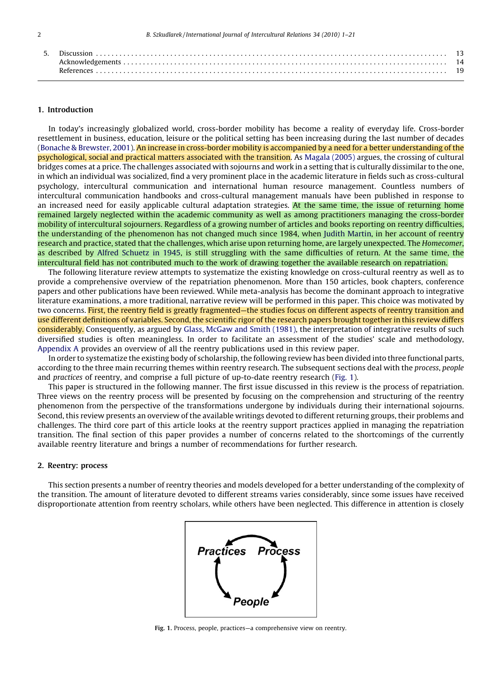#### 1. Introduction

In today's increasingly globalized world, cross-border mobility has become a reality of everyday life. Cross-border resettlement in business, education, leisure or the political setting has been increasing during the last number of decades [\(Bonache & Brewster, 2001\)](#page-18-0). An increase in cross-border mobility is accompanied by a need for a better understanding of the psychological, social and practical matters associated with the transition. As [Magala \(2005\)](#page-19-0) argues, the crossing of cultural bridges comes at a price. The challenges associated with sojourns and work in a setting that is culturally dissimilar to the one, in which an individual was socialized, find a very prominent place in the academic literature in fields such as cross-cultural psychology, intercultural communication and international human resource management. Countless numbers of intercultural communication handbooks and cross-cultural management manuals have been published in response to an increased need for easily applicable cultural adaptation strategies. At the same time, the issue of returning home remained largely neglected within the academic community as well as among practitioners managing the cross-border mobility of intercultural sojourners. Regardless of a growing number of articles and books reporting on reentry difficulties, the understanding of the phenomenon has not changed much since 1984, when [Judith Martin](#page-19-0), in her account of reentry research and practice, stated that the challenges, which arise upon returning home, are largely unexpected. The Homecomer, as described by [Alfred Schuetz in 1945,](#page-20-0) is still struggling with the same difficulties of return. At the same time, the intercultural field has not contributed much to the work of drawing together the available research on repatriation.

The following literature review attempts to systematize the existing knowledge on cross-cultural reentry as well as to provide a comprehensive overview of the repatriation phenomenon. More than 150 articles, book chapters, conference papers and other publications have been reviewed. While meta-analysis has become the dominant approach to integrative literature examinations, a more traditional, narrative review will be performed in this paper. This choice was motivated by two concerns. First, the reentry field is greatly fragmented—the studies focus on different aspects of reentry transition and use different definitions of variables. Second, the scientific rigor of the research papers brought together in this review differs considerably. Consequently, as argued by [Glass, McGaw and Smith \(1981\),](#page-18-0) the interpretation of integrative results of such diversified studies is often meaningless. In order to facilitate an assessment of the studies' scale and methodology, [Appendix A](#page-14-0) provides an overview of all the reentry publications used in this review paper.

In order to systematize the existing body of scholarship, the following review has been divided into three functional parts, according to the three main recurring themes within reentry research. The subsequent sections deal with the process, people and practices of reentry, and comprise a full picture of up-to-date reentry research (Fig. 1).

This paper is structured in the following manner. The first issue discussed in this review is the process of repatriation. Three views on the reentry process will be presented by focusing on the comprehension and structuring of the reentry phenomenon from the perspective of the transformations undergone by individuals during their international sojourns. Second, this review presents an overview of the available writings devoted to different returning groups, their problems and challenges. The third core part of this article looks at the reentry support practices applied in managing the repatriation transition. The final section of this paper provides a number of concerns related to the shortcomings of the currently available reentry literature and brings a number of recommendations for further research.

#### 2. Reentry: process

This section presents a number of reentry theories and models developed for a better understanding of the complexity of the transition. The amount of literature devoted to different streams varies considerably, since some issues have received disproportionate attention from reentry scholars, while others have been neglected. This difference in attention is closely



Fig. 1. Process, people, practices—a comprehensive view on reentry.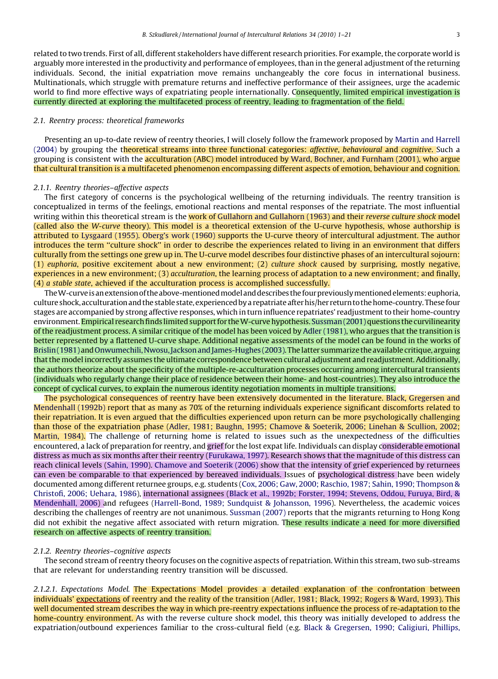related to two trends. First of all, different stakeholders have different research priorities. For example, the corporate world is arguably more interested in the productivity and performance of employees, than in the general adjustment of the returning individuals. Second, the initial expatriation move remains unchangeably the core focus in international business. Multinationals, which struggle with premature returns and ineffective performance of their assignees, urge the academic world to find more effective ways of expatriating people internationally. Consequently, limited empirical investigation is currently directed at exploring the multifaceted process of reentry, leading to fragmentation of the field.

## 2.1. Reentry process: theoretical frameworks

Presenting an up-to-date review of reentry theories, I will closely follow the framework proposed by [Martin and Harrell](#page-19-0) [\(2004\)](#page-19-0) by grouping the theoretical streams into three functional categories: *affective, behavioural* and *cognitive*. Such a grouping is consistent with the acculturation (ABC) model introduced by [Ward, Bochner, and Furnham \(2001\)](#page-20-0), who argue that cultural transition is a multifaceted phenomenon encompassing different aspects of emotion, behaviour and cognition.

#### 2.1.1. Reentry theories–affective aspects

The first category of concerns is the psychological wellbeing of the returning individuals. The reentry transition is conceptualized in terms of the feelings, emotional reactions and mental responses of the repatriate. The most influential writing within this theoretical stream is the work of [Gullahorn and Gullahorn \(1963\)](#page-18-0) and their reverse culture shock model (called also the W-curve theory). This model is a theoretical extension of the U-curve hypothesis, whose authorship is attributed to [Lysgaard \(1955\)](#page-19-0). [Oberg's work \(1960\)](#page-19-0) supports the U-curve theory of intercultural adjustment. The author introduces the term ''culture shock'' in order to describe the experiences related to living in an environment that differs culturally from the settings one grew up in. The U-curve model describes four distinctive phases of an intercultural sojourn: (1) euphoria, positive excitement about a new environment; (2) culture shock caused by surprising, mostly negative, experiences in a new environment; (3) acculturation, the learning process of adaptation to a new environment; and finally, (4) a stable state, achieved if the acculturation process is accomplished successfully.

The W-curve is an extension of the above-mentioned model and describes the four previously mentioned elements: euphoria, culture shock, acculturation and the stable state, experienced by a repatriate afterhis/her return to the home-country. These four stages are accompanied by strong affective responses, which in turn influence repatriates' readjustment to their home-country environment. Empirical research finds limited support for the W-curve hypothesis. [Sussman \(2001\)](#page-20-0) questions the curvilinearity of the readjustment process. A similar critique of the model has been voiced by [Adler \(1981\),](#page-18-0) who argues that the transition is better represented by a flattened U-curve shape. Additional negative assessments of the model can be found in the works of [Brislin \(1981\)](#page-18-0) and [Onwumechili, Nwosu, Jackson and James-Hughes \(2003\)](#page-19-0). The latter summarize the available critique, arguing that the model incorrectly assumes the ultimate correspondence between cultural adjustment and readjustment. Additionally, the authors theorize about the specificity of the multiple-re-acculturation processes occurring among intercultural transients (individuals who regularly change their place of residence between their home- and host-countries). They also introduce the concept of cyclical curves, to explain the numerous identity negotiation moments in multiple transitions.

The psychological consequences of reentry have been extensively documented in the literature. [Black, Gregersen and](#page-18-0) [Mendenhall \(1992b\)](#page-18-0) report that as many as 70% of the returning individuals experience significant discomforts related to their repatriation. It is even argued that the difficulties experienced upon return can be more psychologically challenging than those of the expatriation phase [\(Adler, 1981; Baughn, 1995; Chamove & Soeterik, 2006; Linehan & Scullion, 2002;](#page-18-0) [Martin, 1984](#page-18-0)). The challenge of returning home is related to issues such as the unexpectedness of the difficulties encountered, a lack of preparation for reentry, and grief for the lost expat life. Individuals can display considerable emotional distress as much as six months after their reentry [\(Furukawa, 1997](#page-18-0)). Research shows that the magnitude of this distress can reach clinical levels [\(Sahin, 1990\)](#page-20-0). [Chamove and Soeterik \(2006\)](#page-18-0) show that the intensity of grief experienced by returnees can even be comparable to that experienced by bereaved individuals. Issues of psychological distress have been widely documented among different returnee groups, e.g. students ([Cox, 2006; Gaw, 2000; Raschio, 1987; Sahin, 1990; Thompson &](#page-18-0) [Christofi, 2006; Uehara, 1986](#page-18-0)), international assignees ([Black et al., 1992b; Forster, 1994; Stevens, Oddou, Furuya, Bird, &](#page-18-0) [Mendenhall, 2006\)](#page-18-0) and refugees ([Harrell-Bond, 1989; Sundquist & Johansson, 1996](#page-19-0)). Nevertheless, the academic voices describing the challenges of reentry are not unanimous. [Sussman \(2007\)](#page-20-0) reports that the migrants returning to Hong Kong did not exhibit the negative affect associated with return migration. These results indicate a need for more diversified research on affective aspects of reentry transition.

### 2.1.2. Reentry theories–cognitive aspects

The second stream of reentry theory focuses on the cognitive aspects of repatriation. Within this stream, two sub-streams that are relevant for understanding reentry transition will be discussed.

2.1.2.1. Expectations Model. The Expectations Model provides a detailed explanation of the confrontation between individuals' expectations of reentry and the reality of the transition [\(Adler, 1981; Black, 1992; Rogers & Ward, 1993\)](#page-18-0). This well documented stream describes the way in which pre-reentry expectations influence the process of re-adaptation to the home-country environment. As with the reverse culture shock model, this theory was initially developed to address the expatriation/outbound experiences familiar to the cross-cultural field (e.g. [Black & Gregersen, 1990; Caligiuri, Phillips,](#page-18-0)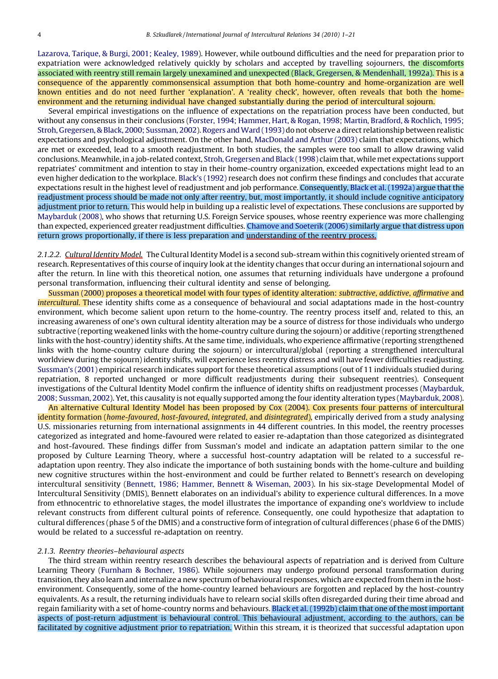[Lazarova, Tarique, & Burgi, 2001; Kealey, 1989\)](#page-18-0). However, while outbound difficulties and the need for preparation prior to expatriation were acknowledged relatively quickly by scholars and accepted by travelling sojourners, the discomforts associated with reentry still remain largely unexamined and unexpected ([Black, Gregersen, & Mendenhall, 1992a\)](#page-18-0). This is a consequence of the apparently commonsensical assumption that both home-country and home-organization are well known entities and do not need further 'explanation'. A 'reality check', however, often reveals that both the homeenvironment and the returning individual have changed substantially during the period of intercultural sojourn.

Several empirical investigations on the influence of expectations on the repatriation process have been conducted, but without any consensus in their conclusions ([Forster, 1994; Hammer, Hart, & Rogan, 1998; Martin, Bradford, & Rochlich, 1995;](#page-18-0) [Stroh, Gregersen, & Black, 2000; Sussman, 2002](#page-18-0)). Rogers and Ward (1993) do not observe a direct relationship between realistic expectations and psychological adjustment. On the other hand, [MacDonald and Arthur \(2003\)](#page-19-0) claim that expectations, which are met or exceeded, lead to a smooth readjustment. In both studies, the samples were too small to allow drawing valid conclusions. Meanwhile, in a job-related context, [Stroh, Gregersen and Black \(1998\)](#page-20-0) claim that, while met expectations support repatriates' commitment and intention to stay in their home-country organization, exceeded expectations might lead to an even higher dedication to the workplace. [Black's \(1992\)](#page-18-0) research does not confirm these findings and concludes that accurate expectations result in the highest level of readjustment and job performance. Consequently, [Black et al. \(1992a\)](#page-18-0) argue that the readjustment process should be made not only after reentry, but, most importantly, it should include cognitive anticipatory adjustment prior to return. This would help in building up a realistic level of expectations. These conclusions are supported by [Maybarduk \(2008\)](#page-19-0), who shows that returning U.S. Foreign Service spouses, whose reentry experience was more challenging than expected, experienced greater readjustment difficulties. [Chamove and Soeterik \(2006\)](#page-18-0) similarly argue that distress upon return grows proportionally, if there is less preparation and understanding of the reentry process.

2.1.2.2. Cultural Identity Model. The Cultural Identity Model is a second sub-stream within this cognitively oriented stream of research. Representatives of this course of inquiry look at the identity changes that occur during an international sojourn and after the return. In line with this theoretical notion, one assumes that returning individuals have undergone a profound personal transformation, influencing their cultural identity and sense of belonging.

[Sussman \(2000\)](#page-20-0) proposes a theoretical model with four types of identity alteration: subtractive, addictive, affirmative and intercultural. These identity shifts come as a consequence of behavioural and social adaptations made in the host-country environment, which become salient upon return to the home-country. The reentry process itself and, related to this, an increasing awareness of one's own cultural identity alteration may be a source of distress for those individuals who undergo subtractive (reporting weakened links with the home-country culture during the sojourn) or additive (reporting strengthened links with the host-country) identity shifts. At the same time, individuals, who experience affirmative (reporting strengthened links with the home-country culture during the sojourn) or intercultural/global (reporting a strengthened intercultural worldview during the sojourn) identity shifts, will experience less reentry distress and will have fewer difficulties readjusting. [Sussman's \(2001\)](#page-20-0) empirical research indicates support for these theoretical assumptions (out of 11 individuals studied during repatriation, 8 reported unchanged or more difficult readjustments during their subsequent reentries). Consequent investigations of the Cultural Identity Model confirm the influence of identity shifts on readjustment processes [\(Maybarduk,](#page-19-0) [2008; Sussman, 2002](#page-19-0)). Yet, this causality is not equally supported among the four identity alteration types [\(Maybarduk, 2008](#page-19-0)).

An alternative Cultural Identity Model has been proposed by [Cox \(2004\).](#page-18-0) Cox presents four patterns of intercultural identity formation (home-favoured, host-favoured, integrated, and disintegrated), empirically derived from a study analysing U.S. missionaries returning from international assignments in 44 different countries. In this model, the reentry processes categorized as integrated and home-favoured were related to easier re-adaptation than those categorized as disintegrated and host-favoured. These findings differ from Sussman's model and indicate an adaptation pattern similar to the one proposed by Culture Learning Theory, where a successful host-country adaptation will be related to a successful readaptation upon reentry. They also indicate the importance of both sustaining bonds with the home-culture and building new cognitive structures within the host-environment and could be further related to Bennett's research on developing intercultural sensitivity [\(Bennett, 1986; Hammer, Bennett & Wiseman, 2003](#page-18-0)). In his six-stage Developmental Model of Intercultural Sensitivity (DMIS), Bennett elaborates on an individual's ability to experience cultural differences. In a move from ethnocentric to ethnorelative stages, the model illustrates the importance of expanding one's worldview to include relevant constructs from different cultural points of reference. Consequently, one could hypothesize that adaptation to cultural differences (phase 5 of the DMIS) and a constructive form of integration of cultural differences (phase 6 of the DMIS) would be related to a successful re-adaptation on reentry.

#### 2.1.3. Reentry theories–behavioural aspects

The third stream within reentry research describes the behavioural aspects of repatriation and is derived from Culture Learning Theory ([Furnham & Bochner, 1986\)](#page-18-0). While sojourners may undergo profound personal transformation during transition, they also learn and internalize a new spectrum of behavioural responses, which are expected from them in the hostenvironment. Consequently, some of the home-country learned behaviours are forgotten and replaced by the host-country equivalents. As a result, the returning individuals have to relearn social skills often disregarded during their time abroad and regain familiarity with a set of home-country norms and behaviours. [Black et al. \(1992b\)](#page-18-0) claim that one of the most important aspects of post-return adjustment is behavioural control. This behavioural adjustment, according to the authors, can be facilitated by cognitive adjustment prior to repatriation. Within this stream, it is theorized that successful adaptation upon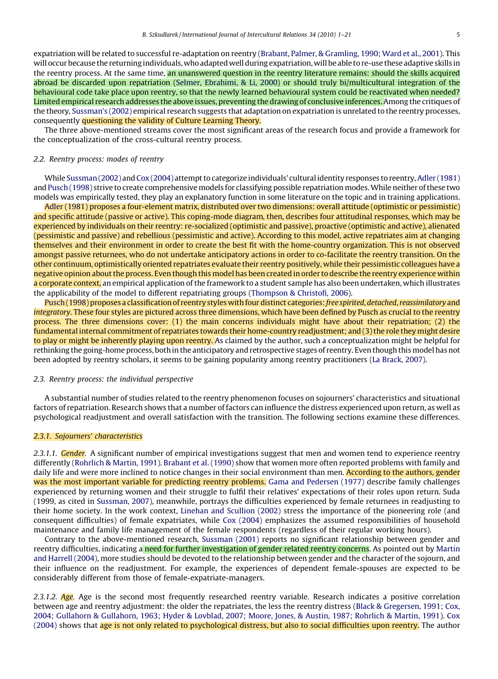expatriation will be related to successful re-adaptation on reentry [\(Brabant, Palmer, & Gramling, 1990; Ward et al., 2001\)](#page-18-0). This will occur because the returning individuals,who adapted well during expatriation,will be able to re-use these adaptive skills in the reentry process. At the same time, an unanswered question in the reentry literature remains: should the skills acquired abroad be discarded upon repatriation ([Selmer, Ebrahimi, & Li, 2000](#page-20-0)) or should truly bi/multicultural integration of the behavioural code take place upon reentry, so that the newly learned behavioural system could be reactivated when needed? Limited empirical research addresses the above issues, preventing the drawing of conclusive inferences. Among the critiques of the theory, [Sussman's \(2002\)](#page-20-0) empirical research suggests that adaptation on expatriation is unrelated to the reentry processes, consequently questioning the validity of Culture Learning Theory.

The three above-mentioned streams cover the most significant areas of the research focus and provide a framework for the conceptualization of the cross-cultural reentry process.

#### 2.2. Reentry process: modes of reentry

While [Sussman \(2002\)](#page-20-0) and [Cox \(2004\)](#page-18-0) attempt to categorize individuals' cultural identity responses to reentry,[Adler \(1981\)](#page-18-0) and [Pusch \(1998\)](#page-20-0) strive to create comprehensive models for classifying possible repatriation modes.While neither of these two models was empirically tested, they play an explanatory function in some literature on the topic and in training applications.

[Adler \(1981\)](#page-18-0) proposes a four-element matrix, distributed over two dimensions: overall attitude (optimistic or pessimistic) and specific attitude (passive or active). This coping-mode diagram, then, describes four attitudinal responses, which may be experienced by individuals on their reentry: re-socialized (optimistic and passive), proactive (optimistic and active), alienated (pessimistic and passive) and rebellious (pessimistic and active). According to this model, active repatriates aim at changing themselves and their environment in order to create the best fit with the home-country organization. This is not observed amongst passive returnees, who do not undertake anticipatory actions in order to co-facilitate the reentry transition. On the other continuum, optimistically oriented repatriates evaluate their reentry positively, while their pessimistic colleagues have a negative opinion about the process. Even though this model has been created in order to describe the reentry experience within a corporate context, an empirical application of the framework to a student sample has also been undertaken, which illustrates the applicability of the model to different repatriating groups ([Thompson & Christofi, 2006\)](#page-20-0).

[Pusch \(1998\)](#page-20-0) proposes a classification of reentry styles with four distinct categories: free spirited, detached, reassimilatory and integratory. These four styles are pictured across three dimensions, which have been defined by Pusch as crucial to the reentry process. The three dimensions cover: (1) the main concerns individuals might have about their repatriation; (2) the fundamental internal commitment of repatriates towards their home-country readjustment; and (3) the role they might desire to play or might be inherently playing upon reentry. As claimed by the author, such a conceptualization might be helpful for rethinking the going-home process, both in the anticipatory and retrospective stages of reentry. Even though thismodel has not been adopted by reentry scholars, it seems to be gaining popularity among reentry practitioners [\(La Brack, 2007](#page-19-0)).

#### 2.3. Reentry process: the individual perspective

A substantial number of studies related to the reentry phenomenon focuses on sojourners' characteristics and situational factors of repatriation. Research shows that a number of factors can influence the distress experienced upon return, as well as psychological readjustment and overall satisfaction with the transition. The following sections examine these differences.

#### 2.3.1. Sojourners' characteristics

2.3.1.1. Gender. A significant number of empirical investigations suggest that men and women tend to experience reentry differently ([Rohrlich & Martin, 1991](#page-20-0)). [Brabant et al. \(1990\)](#page-18-0) show that women more often reported problems with family and daily life and were more inclined to notice changes in their social environment than men. According to the authors, gender was the most important variable for predicting reentry problems. [Gama and Pedersen \(1977\)](#page-18-0) describe family challenges experienced by returning women and their struggle to fulfil their relatives' expectations of their roles upon return. Suda (1999, as cited in [Sussman, 2007](#page-20-0)), meanwhile, portrays the difficulties experienced by female returnees in readjusting to their home society. In the work context, [Linehan and Scullion \(2002\)](#page-19-0) stress the importance of the pioneering role (and consequent difficulties) of female expatriates, while [Cox \(2004\)](#page-18-0) emphasizes the assumed responsibilities of household maintenance and family life management of the female respondents (regardless of their regular working hours).

Contrary to the above-mentioned research, [Sussman \(2001\)](#page-20-0) reports no significant relationship between gender and reentry difficulties, indicating a need for further investigation of gender related reentry concerns. As pointed out by [Martin](#page-19-0) [and Harrell \(2004\)](#page-19-0), more studies should be devoted to the relationship between gender and the character of the sojourn, and their influence on the readjustment. For example, the experiences of dependent female-spouses are expected to be considerably different from those of female-expatriate-managers.

2.3.1.2. Age. Age is the second most frequently researched reentry variable. Research indicates a positive correlation between age and reentry adjustment: the older the repatriates, the less the reentry distress [\(Black & Gregersen, 1991; Cox,](#page-18-0) [2004; Gullahorn & Gullahorn, 1963; Hyder & Lovblad, 2007; Moore, Jones, & Austin, 1987; Rohrlich & Martin, 1991](#page-18-0)). [Cox](#page-18-0) [\(2004\)](#page-18-0) shows that age is not only related to psychological distress, but also to social difficulties upon reentry. The author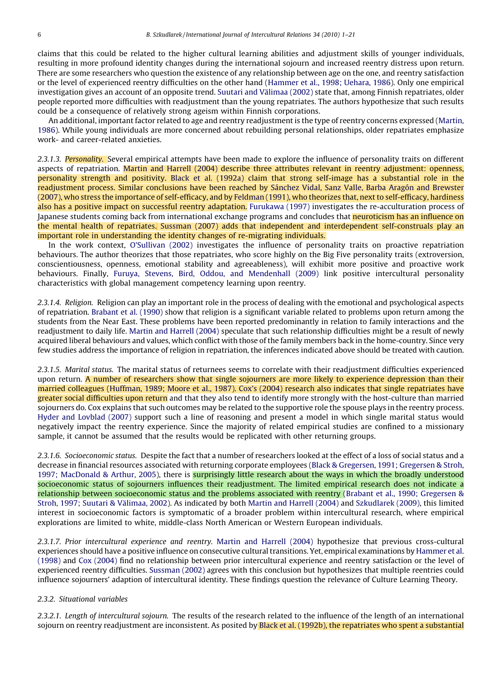claims that this could be related to the higher cultural learning abilities and adjustment skills of younger individuals, resulting in more profound identity changes during the international sojourn and increased reentry distress upon return. There are some researchers who question the existence of any relationship between age on the one, and reentry satisfaction or the level of experienced reentry difficulties on the other hand ([Hammer et al., 1998; Uehara, 1986](#page-19-0)). Only one empirical investigation gives an account of an opposite trend. Suutari and Välimaa (2002) state that, among Finnish repatriates, older people reported more difficulties with readjustment than the young repatriates. The authors hypothesize that such results could be a consequence of relatively strong ageism within Finnish corporations.

An additional, important factor related to age and reentry readjustment is the type of reentry concerns expressed [\(Martin,](#page-19-0) [1986](#page-19-0)). While young individuals are more concerned about rebuilding personal relationships, older repatriates emphasize work- and career-related anxieties.

2.3.1.3. Personality. Several empirical attempts have been made to explore the influence of personality traits on different aspects of repatriation. [Martin and Harrell \(2004\)](#page-19-0) describe three attributes relevant in reentry adjustment: openness, personality strength and positivity. [Black et al. \(1992a\)](#page-18-0) claim that strong self-image has a substantial role in the readjustment process. Similar conclusions have been reached by Sánchez Vidal, Sanz Valle, Barba Aragón and Brewster [\(2007\)](#page-20-0), who stress the importance of self-efficacy, and by [Feldman \(1991\)](#page-18-0), who theorizes that, next to self-efficacy, hardiness also has a positive impact on successful reentry adaptation. [Furukawa \(1997\)](#page-18-0) investigates the re-acculturation process of Japanese students coming back from international exchange programs and concludes that <mark>neuroticism has an influence on</mark> the mental health of repatriates. [Sussman \(2007\)](#page-20-0) adds that independent and interdependent self-construals play an important role in understanding the identity changes of re-migrating individuals.

In the work context, [O'Sullivan \(2002\)](#page-19-0) investigates the influence of personality traits on proactive repatriation behaviours. The author theorizes that those repatriates, who score highly on the Big Five personality traits (extroversion, conscientiousness, openness, emotional stability and agreeableness), will exhibit more positive and proactive work behaviours. Finally, [Furuya, Stevens, Bird, Oddou, and Mendenhall \(2009\)](#page-18-0) link positive intercultural personality characteristics with global management competency learning upon reentry.

2.3.1.4. Religion. Religion can play an important role in the process of dealing with the emotional and psychological aspects of repatriation. [Brabant et al. \(1990\)](#page-18-0) show that religion is a significant variable related to problems upon return among the students from the Near East. These problems have been reported predominantly in relation to family interactions and the readjustment to daily life. [Martin and Harrell \(2004\)](#page-19-0) speculate that such relationship difficulties might be a result of newly acquired liberal behaviours and values, which conflict with those of the family members back in the home-country. Since very few studies address the importance of religion in repatriation, the inferences indicated above should be treated with caution.

2.3.1.5. Marital status. The marital status of returnees seems to correlate with their readjustment difficulties experienced upon return. A number of researchers show that single sojourners are more likely to experience depression than their married colleagues ([Huffman, 1989; Moore et al., 1987\)](#page-19-0). [Cox's \(2004\)](#page-18-0) research also indicates that single repatriates have greater social difficulties upon return and that they also tend to identify more strongly with the host-culture than married sojourners do. Cox explains that such outcomes may be related to the supportive role the spouse plays in the reentry process. [Hyder and Lovblad \(2007\)](#page-19-0) support such a line of reasoning and present a model in which single marital status would negatively impact the reentry experience. Since the majority of related empirical studies are confined to a missionary sample, it cannot be assumed that the results would be replicated with other returning groups.

2.3.1.6. Socioeconomic status. Despite the fact that a number of researchers looked at the effect of a loss of social status and a decrease in financial resources associated with returning corporate employees ([Black & Gregersen, 1991; Gregersen & Stroh,](#page-18-0) [1997; MacDonald & Arthur, 2005\)](#page-18-0), there is **surprisingly little research about the ways in which the broadly understood** socioeconomic status of sojourners influences their readjustment. The limited empirical research does not indicate a relationship between socioeconomic status and the problems associated with reentry [\(Brabant et al., 1990; Gregersen &](#page-18-0) Stroh, 1997; Suutari & Välimaa, 2002). As indicated by both [Martin and Harrell \(2004\)](#page-19-0) and [Szkudlarek \(2009\),](#page-20-0) this limited interest in socioeconomic factors is symptomatic of a broader problem within intercultural research, where empirical explorations are limited to white, middle-class North American or Western European individuals.

2.3.1.7. Prior intercultural experience and reentry. [Martin and Harrell \(2004\)](#page-19-0) hypothesize that previous cross-cultural experiences should have a positive influence on consecutive cultural transitions. Yet, empirical examinations by [Hammer et al.](#page-19-0) [\(1998\)](#page-19-0) and [Cox \(2004\)](#page-18-0) find no relationship between prior intercultural experience and reentry satisfaction or the level of experienced reentry difficulties. [Sussman \(2002\)](#page-20-0) agrees with this conclusion but hypothesizes that multiple reentries could influence sojourners' adaption of intercultural identity. These findings question the relevance of Culture Learning Theory.

### 2.3.2. Situational variables

2.3.2.1. Length of intercultural sojourn. The results of the research related to the influence of the length of an international sojourn on reentry readjustment are inconsistent. As posited by [Black et al. \(1992b\)](#page-18-0), the repatriates who spent a substantial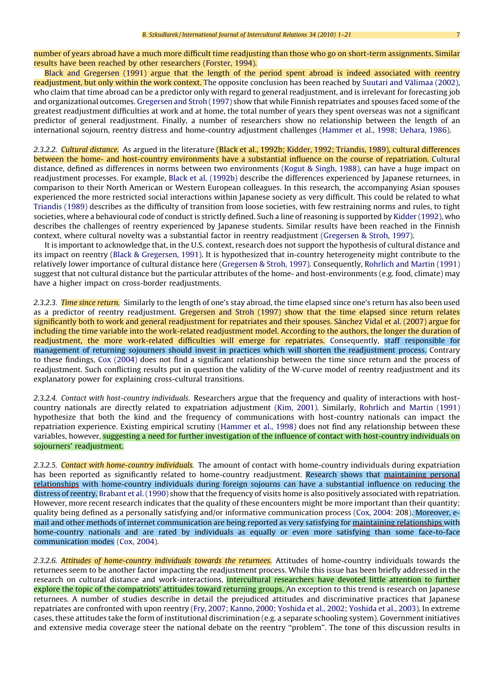number of years abroad have a much more difficult time readjusting than those who go on short-term assignments. Similar results have been reached by other researchers [\(Forster, 1994\)](#page-18-0).

[Black and Gregersen \(1991\)](#page-18-0) argue that the length of the period spent abroad is indeed associated with reentry readjustment, but only within the work context. The opposite conclusion has been reached by Suutari and Välimaa (2002), who claim that time abroad can be a predictor only with regard to general readjustment, and is irrelevant for forecasting job and organizational outcomes. [Gregersen and Stroh \(1997\)](#page-18-0) show that while Finnish repatriates and spouses faced some of the greatest readjustment difficulties at work and at home, the total number of years they spent overseas was not a significant predictor of general readjustment. Finally, a number of researchers show no relationship between the length of an international sojourn, reentry distress and home-country adjustment challenges [\(Hammer et al., 1998; Uehara, 1986\)](#page-19-0).

2.3.2.2. Cultural distance. As argued in the literature (Black et al., 1992b; [Kidder, 1992; Triandis, 1989](#page-19-0)), cultural differences between the home- and host-country environments have a substantial influence on the course of repatriation. Cultural distance, defined as differences in norms between two environments ([Kogut & Singh, 1988](#page-19-0)), can have a huge impact on readjustment processes. For example, [Black et al. \(1992b\)](#page-18-0) describe the differences experienced by Japanese returnees, in comparison to their North American or Western European colleagues. In this research, the accompanying Asian spouses experienced the more restricted social interactions within Japanese society as very difficult. This could be related to what [Triandis \(1989\)](#page-20-0) describes as the difficulty of transition from loose societies, with few restraining norms and rules, to tight societies, where a behavioural code of conduct is strictly defined. Such a line of reasoning is supported by [Kidder \(1992\),](#page-19-0) who describes the challenges of reentry experienced by Japanese students. Similar results have been reached in the Finnish context, where cultural novelty was a substantial factor in reentry readjustment ([Gregersen & Stroh, 1997](#page-18-0)).

It is important to acknowledge that, in the U.S. context, research does not support the hypothesis of cultural distance and its impact on reentry ([Black & Gregersen, 1991](#page-18-0)). It is hypothesized that in-country heterogeneity might contribute to the relatively lower importance of cultural distance here ([Gregersen & Stroh, 1997\)](#page-18-0). Consequently, [Rohrlich and Martin \(1991\)](#page-20-0) suggest that not cultural distance but the particular attributes of the home- and host-environments (e.g. food, climate) may have a higher impact on cross-border readjustments.

2.3.2.3. Time since return. Similarly to the length of one's stay abroad, the time elapsed since one's return has also been used as a predictor of reentry readjustment. [Gregersen and Stroh \(1997\)](#page-18-0) show that the time elapsed since return relates significantly both to work and general readjustment for repatriates and their spouses. Sánchez Vidal et al. (2007) argue for including the time variable into the work-related readjustment model. According to the authors, the longer the duration of readjustment, the more work-related difficulties will emerge for repatriates. Consequently, staff responsible for management of returning sojourners should invest in practices which will shorten the readjustment process. Contrary to these findings, [Cox \(2004\)](#page-18-0) does not find a significant relationship between the time since return and the process of readjustment. Such conflicting results put in question the validity of the W-curve model of reentry readjustment and its explanatory power for explaining cross-cultural transitions.

2.3.2.4. Contact with host-country individuals. Researchers argue that the frequency and quality of interactions with hostcountry nationals are directly related to expatriation adjustment [\(Kim, 2001\)](#page-19-0). Similarly, [Rohrlich and Martin \(1991\)](#page-20-0) hypothesize that both the kind and the frequency of communications with host-country nationals can impact the repatriation experience. Existing empirical scrutiny [\(Hammer et al., 1998](#page-19-0)) does not find any relationship between these variables, however, suggesting a need for further investigation of the influence of contact with host-country individuals on sojourners' readjustment.

2.3.2.5. Contact with home-country individuals. The amount of contact with home-country individuals during expatriation has been reported as significantly related to home-country readjustment. Research shows that maintaining personal relationships with home-country individuals during foreign sojourns can have a substantial influence on reducing the distress of reentry. [Brabant et al. \(1990\)](#page-18-0) show that the frequency of visits home is also positively associated with repatriation. However, more recent research indicates that the quality of these encounters might be more important than their quantity; quality being defined as a personally satisfying and/or informative communication process ([Cox, 2004](#page-18-0): 208). Moreover, email and other methods of internet communication are being reported as very satisfying for maintaining relationships with home-country nationals and are rated by individuals as equally or even more satisfying than some face-to-face communication modes ([Cox, 2004\)](#page-18-0).

2.3.2.6. Attitudes of home-country individuals towards the returnees. Attitudes of home-country individuals towards the returnees seem to be another factor impacting the readjustment process. While this issue has been briefly addressed in the research on cultural distance and work-interactions, intercultural researchers have devoted little attention to further explore the topic of the compatriots' attitudes toward returning groups. An exception to this trend is research on Japanese returnees. A number of studies describe in detail the prejudiced attitudes and discriminative practices that Japanese repatriates are confronted with upon reentry ([Fry, 2007; Kanno, 2000; Yoshida et al., 2002; Yoshida et al., 2003](#page-18-0)). In extreme cases, these attitudes take the form of institutional discrimination (e.g. a separate schooling system). Government initiatives and extensive media coverage steer the national debate on the reentry ''problem''. The tone of this discussion results in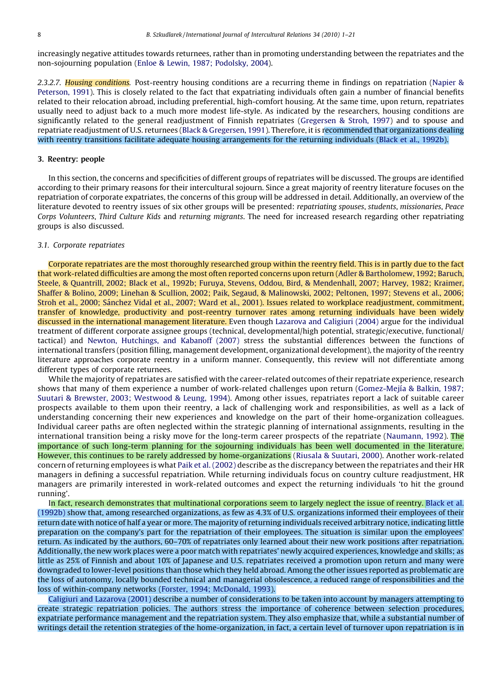increasingly negative attitudes towards returnees, rather than in promoting understanding between the repatriates and the non-sojourning population [\(Enloe & Lewin, 1987; Podolsky, 2004](#page-18-0)).

2.3.2.7. Housing conditions. Post-reentry housing conditions are a recurring theme in findings on repatriation ([Napier &](#page-19-0) [Peterson, 1991](#page-19-0)). This is closely related to the fact that expatriating individuals often gain a number of financial benefits related to their relocation abroad, including preferential, high-comfort housing. At the same time, upon return, repatriates usually need to adjust back to a much more modest life-style. As indicated by the researchers, housing conditions are significantly related to the general readjustment of Finnish repatriates ([Gregersen & Stroh, 1997\)](#page-18-0) and to spouse and repatriate readjustment of U.S. returnees [\(Black & Gregersen, 1991](#page-18-0)). Therefore, it is recommended that organizations dealing with reentry transitions facilitate adequate housing arrangements for the returning individuals ([Black et al., 1992b\)](#page-18-0).

#### 3. Reentry: people

In this section, the concerns and specificities of different groups of repatriates will be discussed. The groups are identified according to their primary reasons for their intercultural sojourn. Since a great majority of reentry literature focuses on the repatriation of corporate expatriates, the concerns of this group will be addressed in detail. Additionally, an overview of the literature devoted to reentry issues of six other groups will be presented: repatriating spouses, students, missionaries, Peace Corps Volunteers, Third Culture Kids and returning migrants. The need for increased research regarding other repatriating groups is also discussed.

#### 3.1. Corporate repatriates

Corporate repatriates are the most thoroughly researched group within the reentry field. This is in partly due to the fact that work-related difficulties are among the most often reported concerns upon return [\(Adler & Bartholomew, 1992; Baruch,](#page-18-0) [Steele, & Quantrill, 2002; Black et al., 1992b; Furuya, Stevens, Oddou, Bird, & Mendenhall, 2007; Harvey, 1982; Kraimer,](#page-18-0) [Shaffer & Bolino, 2009; Linehan & Scullion, 2002; Paik, Segaud, & Malinowski, 2002; Peltonen, 1997; Stevens et al., 2006;](#page-18-0) Stroh et al., 2000; Sánchez Vidal et al., 2007; Ward et al., 2001). Issues related to workplace readjustment, commitment, transfer of knowledge, productivity and post-reentry turnover rates among returning individuals have been widely discussed in the international management literature. Even though [Lazarova and Caligiuri \(2004\)](#page-19-0) argue for the individual treatment of different corporate assignee groups (technical, developmental/high potential, strategic/executive, functional/ tactical) and [Newton, Hutchings, and Kabanoff \(2007\)](#page-19-0) stress the substantial differences between the functions of international transfers (position filling, management development, organizational development), the majority of the reentry literature approaches corporate reentry in a uniform manner. Consequently, this review will not differentiate among different types of corporate returnees.

While the majority of repatriates are satisfied with the career-related outcomes of their repatriate experience, research shows that many of them experience a number of work-related challenges upon return (Gomez-Mejía & Balkin, 1987; [Suutari & Brewster, 2003; Westwood & Leung, 1994\)](#page-18-0). Among other issues, repatriates report a lack of suitable career prospects available to them upon their reentry, a lack of challenging work and responsibilities, as well as a lack of understanding concerning their new experiences and knowledge on the part of their home-organization colleagues. Individual career paths are often neglected within the strategic planning of international assignments, resulting in the international transition being a risky move for the long-term career prospects of the repatriate ([Naumann, 1992](#page-19-0)). The importance of such long-term planning for the sojourning individuals has been well documented in the literature. However, this continues to be rarely addressed by home-organizations ([Riusala & Suutari, 2000\)](#page-20-0). Another work-related concern of returning employees is what [Paik et al. \(2002\)](#page-19-0) describe as the discrepancy between the repatriates and their HR managers in defining a successful repatriation. While returning individuals focus on country culture readjustment, HR managers are primarily interested in work-related outcomes and expect the returning individuals 'to hit the ground running'.

In fact, research demonstrates that multinational corporations seem to largely neglect the issue of reentry. [Black et al.](#page-18-0) [\(1992b\)](#page-18-0) show that, among researched organizations, as few as 4.3% of U.S. organizations informed their employees of their return date with notice of half a year or more. The majority of returning individuals received arbitrary notice, indicating little preparation on the company's part for the repatriation of their employees. The situation is similar upon the employees' return. As indicated by the authors, 60–70% of repatriates only learned about their new work positions after repatriation. Additionally, the new work places were a poor match with repatriates' newly acquired experiences, knowledge and skills; as little as 25% of Finnish and about 10% of Japanese and U.S. repatriates received a promotion upon return and many were downgraded to lower-level positions than those which they held abroad. Among the other issues reported as problematic are the loss of autonomy, locally bounded technical and managerial obsolescence, a reduced range of responsibilities and the loss of within-company networks ([Forster, 1994; McDonald, 1993](#page-18-0)).

[Caligiuri and Lazarova \(2001\)](#page-18-0) describe a number of considerations to be taken into account by managers attempting to create strategic repatriation policies. The authors stress the importance of coherence between selection procedures, expatriate performance management and the repatriation system. They also emphasize that, while a substantial number of writings detail the retention strategies of the home-organization, in fact, a certain level of turnover upon repatriation is in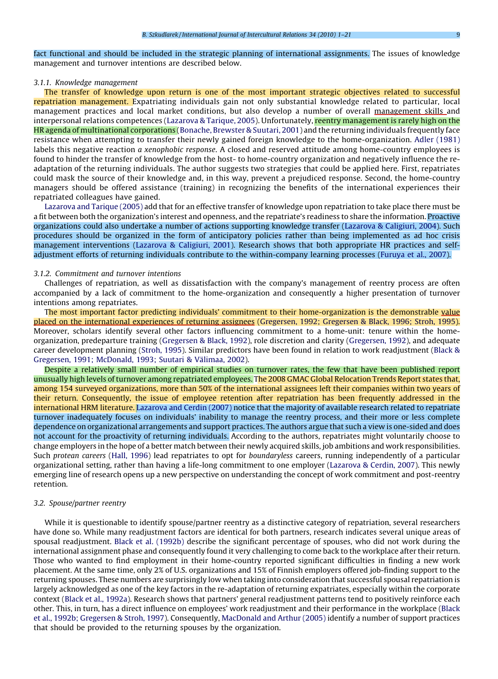fact functional and should be included in the strategic planning of international assignments. The issues of knowledge management and turnover intentions are described below.

#### 3.1.1. Knowledge management

The transfer of knowledge upon return is one of the most important strategic objectives related to successful repatriation management. Expatriating individuals gain not only substantial knowledge related to particular, local management practices and local market conditions, but also develop a number of overall management skills and interpersonal relations competences ([Lazarova & Tarique, 2005\)](#page-19-0). Unfortunately, reentry management is rarely high on the HR agenda of multinational corporations ([Bonache, Brewster & Suutari, 2001\)](#page-18-0) and the returning individuals frequently face resistance when attempting to transfer their newly gained foreign knowledge to the home-organization. [Adler \(1981\)](#page-18-0) labels this negative reaction *a xenophobic response*. A closed and reserved attitude among home-country employees is found to hinder the transfer of knowledge from the host- to home-country organization and negatively influence the readaptation of the returning individuals. The author suggests two strategies that could be applied here. First, repatriates could mask the source of their knowledge and, in this way, prevent a prejudiced response. Second, the home-country managers should be offered assistance (training) in recognizing the benefits of the international experiences their repatriated colleagues have gained.

[Lazarova and Tarique \(2005\)](#page-19-0) add that for an effective transfer of knowledge upon repatriation to take place there must be a fit between both the organization's interest and openness, and the repatriate's readiness to share the information. Proactive organizations could also undertake a number of actions supporting knowledge transfer [\(Lazarova & Caligiuri, 2004](#page-19-0)). Such procedures should be organized in the form of anticipatory policies rather than being implemented as ad hoc crisis management interventions ([Lazarova & Caligiuri, 2001](#page-19-0)). Research shows that both appropriate HR practices and selfadjustment efforts of returning individuals contribute to the within-company learning processes [\(Furuya et al., 2007](#page-18-0)).

#### 3.1.2. Commitment and turnover intentions

Challenges of repatriation, as well as dissatisfaction with the company's management of reentry process are often accompanied by a lack of commitment to the home-organization and consequently a higher presentation of turnover intentions among repatriates.

The most important factor predicting individuals' commitment to their home-organization is the demonstrable value placed on the international experiences of returning assignees [\(Gregersen, 1992; Gregersen & Black, 1996; Stroh, 1995](#page-18-0)). Moreover, scholars identify several other factors influencing commitment to a home-unit: tenure within the homeorganization, predeparture training [\(Gregersen & Black, 1992\)](#page-18-0), role discretion and clarity ([Gregersen, 1992](#page-18-0)), and adequate career development planning ([Stroh, 1995\)](#page-20-0). Similar predictors have been found in relation to work readjustment ([Black &](#page-18-0) Gregersen, 1991; McDonald, 1993; Suutari & Välimaa, 2002).

Despite a relatively small number of empirical studies on turnover rates, the few that have been published report unusually high levels of turnover among repatriated employees. The 2008 GMAC Global Relocation Trends Report states that, among 154 surveyed organizations, more than 50% of the international assignees left their companies within two years of their return. Consequently, the issue of employee retention after repatriation has been frequently addressed in the international HRM literature. [Lazarova and Cerdin \(2007\)](#page-19-0) notice that the majority of available research related to repatriate turnover inadequately focuses on individuals' inability to manage the reentry process, and their more or less complete dependence on organizational arrangements and support practices. The authors argue that such a view is one-sided and does not account for the proactivity of returning individuals. According to the authors, repatriates might voluntarily choose to change employers in the hope of a better match between their newly acquired skills, job ambitions and work responsibilities. Such protean careers ([Hall, 1996\)](#page-19-0) lead repatriates to opt for boundaryless careers, running independently of a particular organizational setting, rather than having a life-long commitment to one employer ([Lazarova & Cerdin, 2007\)](#page-19-0). This newly emerging line of research opens up a new perspective on understanding the concept of work commitment and post-reentry retention.

#### 3.2. Spouse/partner reentry

While it is questionable to identify spouse/partner reentry as a distinctive category of repatriation, several researchers have done so. While many readjustment factors are identical for both partners, research indicates several unique areas of spousal readjustment. [Black et al. \(1992b\)](#page-18-0) describe the significant percentage of spouses, who did not work during the international assignment phase and consequently found it very challenging to come back to the workplace after their return. Those who wanted to find employment in their home-country reported significant difficulties in finding a new work placement. At the same time, only 2% of U.S. organizations and 15% of Finnish employers offered job-finding support to the returning spouses. These numbers are surprisingly low when taking into consideration that successful spousal repatriation is largely acknowledged as one of the key factors in the re-adaptation of returning expatriates, especially within the corporate context ([Black et al., 1992a](#page-18-0)). Research shows that partners' general readjustment patterns tend to positively reinforce each other. This, in turn, has a direct influence on employees' work readjustment and their performance in the workplace ([Black](#page-18-0) [et al., 1992b; Gregersen & Stroh, 1997\)](#page-18-0). Consequently, [MacDonald and Arthur \(2005\)](#page-19-0) identify a number of support practices that should be provided to the returning spouses by the organization.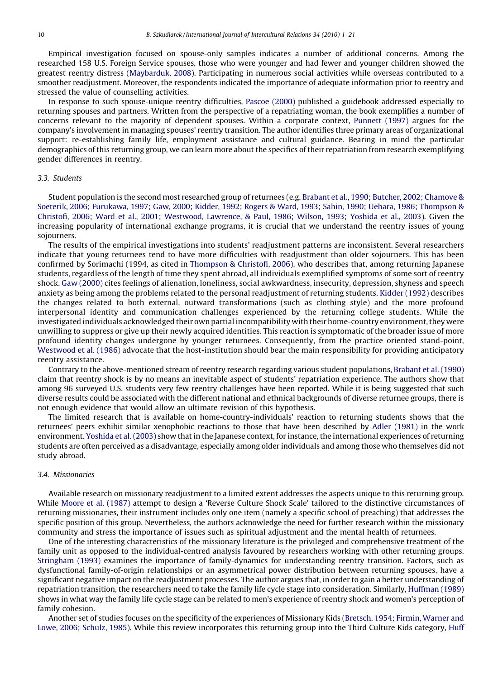Empirical investigation focused on spouse-only samples indicates a number of additional concerns. Among the researched 158 U.S. Foreign Service spouses, those who were younger and had fewer and younger children showed the greatest reentry distress ([Maybarduk, 2008](#page-19-0)). Participating in numerous social activities while overseas contributed to a smoother readjustment. Moreover, the respondents indicated the importance of adequate information prior to reentry and stressed the value of counselling activities.

In response to such spouse-unique reentry difficulties, [Pascoe \(2000\)](#page-19-0) published a guidebook addressed especially to returning spouses and partners. Written from the perspective of a repatriating woman, the book exemplifies a number of concerns relevant to the majority of dependent spouses. Within a corporate context, [Punnett \(1997\)](#page-20-0) argues for the company's involvement in managing spouses' reentry transition. The author identifies three primary areas of organizational support: re-establishing family life, employment assistance and cultural guidance. Bearing in mind the particular demographics of this returning group, we can learn more about the specifics of their repatriation from research exemplifying gender differences in reentry.

#### 3.3. Students

Student population is the second most researched group of returnees (e.g. [Brabant et al., 1990; Butcher, 2002; Chamove &](#page-18-0) [Soeterik, 2006; Furukawa, 1997; Gaw, 2000; Kidder, 1992; Rogers & Ward, 1993; Sahin, 1990; Uehara, 1986; Thompson &](#page-18-0) [Christofi, 2006; Ward et al., 2001; Westwood, Lawrence, & Paul, 1986; Wilson, 1993; Yoshida et al., 2003\)](#page-18-0). Given the increasing popularity of international exchange programs, it is crucial that we understand the reentry issues of young sojourners.

The results of the empirical investigations into students' readjustment patterns are inconsistent. Several researchers indicate that young returnees tend to have more difficulties with readjustment than older sojourners. This has been confirmed by Sorimachi (1994, as cited in [Thompson & Christofi, 2006\)](#page-20-0), who describes that, among returning Japanese students, regardless of the length of time they spent abroad, all individuals exemplified symptoms of some sort of reentry shock. [Gaw \(2000\)](#page-18-0) cites feelings of alienation, loneliness, social awkwardness, insecurity, depression, shyness and speech anxiety as being among the problems related to the personal readjustment of returning students. [Kidder \(1992\)](#page-19-0) describes the changes related to both external, outward transformations (such as clothing style) and the more profound interpersonal identity and communication challenges experienced by the returning college students. While the investigated individuals acknowledged their own partial incompatibility with their home-country environment, they were unwilling to suppress or give up their newly acquired identities. This reaction is symptomatic of the broader issue of more profound identity changes undergone by younger returnees. Consequently, from the practice oriented stand-point, [Westwood et al. \(1986\)](#page-20-0) advocate that the host-institution should bear the main responsibility for providing anticipatory reentry assistance.

Contrary to the above-mentioned stream of reentry research regarding various student populations, [Brabant et al. \(1990\)](#page-18-0) claim that reentry shock is by no means an inevitable aspect of students' repatriation experience. The authors show that among 96 surveyed U.S. students very few reentry challenges have been reported. While it is being suggested that such diverse results could be associated with the different national and ethnical backgrounds of diverse returnee groups, there is not enough evidence that would allow an ultimate revision of this hypothesis.

The limited research that is available on home-country-individuals' reaction to returning students shows that the returnees' peers exhibit similar xenophobic reactions to those that have been described by [Adler \(1981\)](#page-18-0) in the work environment. [Yoshida et al. \(2003\)](#page-20-0) show that in the Japanese context, for instance, the international experiences of returning students are often perceived as a disadvantage, especially among older individuals and among those who themselves did not study abroad.

#### 3.4. Missionaries

Available research on missionary readjustment to a limited extent addresses the aspects unique to this returning group. While [Moore et al. \(1987\)](#page-19-0) attempt to design a 'Reverse Culture Shock Scale' tailored to the distinctive circumstances of returning missionaries, their instrument includes only one item (namely a specific school of preaching) that addresses the specific position of this group. Nevertheless, the authors acknowledge the need for further research within the missionary community and stress the importance of issues such as spiritual adjustment and the mental health of returnees.

One of the interesting characteristics of the missionary literature is the privileged and comprehensive treatment of the family unit as opposed to the individual-centred analysis favoured by researchers working with other returning groups. [Stringham \(1993\)](#page-20-0) examines the importance of family-dynamics for understanding reentry transition. Factors, such as dysfunctional family-of-origin relationships or an asymmetrical power distribution between returning spouses, have a significant negative impact on the readjustment processes. The author argues that, in order to gain a better understanding of repatriation transition, the researchers need to take the family life cycle stage into consideration. Similarly, [Huffman \(1989\)](#page-19-0) shows in what way the family life cycle stage can be related to men's experience of reentry shock and women's perception of family cohesion.

Another set of studies focuses on the specificity of the experiences of Missionary Kids [\(Bretsch, 1954; Firmin, Warner and](#page-18-0) [Lowe, 2006; Schulz, 1985\)](#page-18-0). While this review incorporates this returning group into the Third Culture Kids category, [Huff](#page-19-0)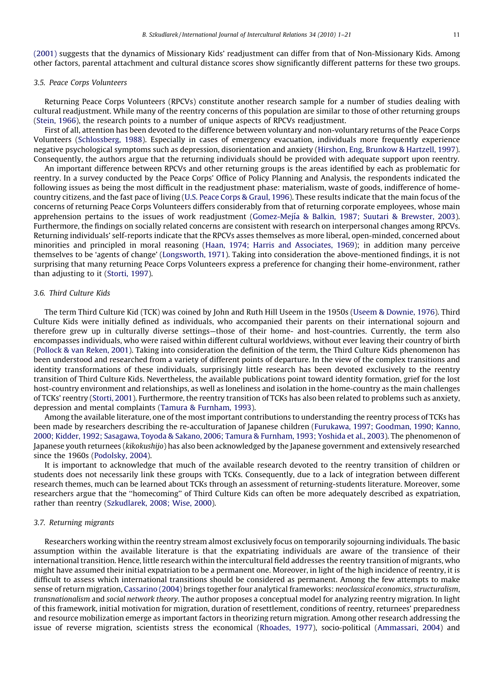[\(2001\)](#page-19-0) suggests that the dynamics of Missionary Kids' readjustment can differ from that of Non-Missionary Kids. Among other factors, parental attachment and cultural distance scores show significantly different patterns for these two groups.

### 3.5. Peace Corps Volunteers

Returning Peace Corps Volunteers (RPCVs) constitute another research sample for a number of studies dealing with cultural readjustment. While many of the reentry concerns of this population are similar to those of other returning groups ([Stein, 1966](#page-20-0)), the research points to a number of unique aspects of RPCVs readjustment.

First of all, attention has been devoted to the difference between voluntary and non-voluntary returns of the Peace Corps Volunteers [\(Schlossberg, 1988\)](#page-20-0). Especially in cases of emergency evacuation, individuals more frequently experience negative psychological symptoms such as depression, disorientation and anxiety ([Hirshon, Eng, Brunkow & Hartzell, 1997](#page-19-0)). Consequently, the authors argue that the returning individuals should be provided with adequate support upon reentry.

An important difference between RPCVs and other returning groups is the areas identified by each as problematic for reentry. In a survey conducted by the Peace Corps' Office of Policy Planning and Analysis, the respondents indicated the following issues as being the most difficult in the readjustment phase: materialism, waste of goods, indifference of homecountry citizens, and the fast pace of living ([U.S. Peace Corps & Graul, 1996](#page-20-0)). These results indicate that the main focus of the concerns of returning Peace Corps Volunteers differs considerably from that of returning corporate employees, whose main apprehension pertains to the issues of work readjustment (Gomez-Mejía & Balkin, 1987; Suutari & Brewster, 2003). Furthermore, the findings on socially related concerns are consistent with research on interpersonal changes among RPCVs. Returning individuals' self-reports indicate that the RPCVs asses themselves as more liberal, open-minded, concerned about minorities and principled in moral reasoning ([Haan, 1974; Harris and Associates, 1969](#page-18-0)); in addition many perceive themselves to be 'agents of change' ([Longsworth, 1971\)](#page-19-0). Taking into consideration the above-mentioned findings, it is not surprising that many returning Peace Corps Volunteers express a preference for changing their home-environment, rather than adjusting to it [\(Storti, 1997](#page-20-0)).

### 3.6. Third Culture Kids

The term Third Culture Kid (TCK) was coined by John and Ruth Hill Useem in the 1950s [\(Useem & Downie, 1976](#page-20-0)). Third Culture Kids were initially defined as individuals, who accompanied their parents on their international sojourn and therefore grew up in culturally diverse settings—those of their home- and host-countries. Currently, the term also encompasses individuals, who were raised within different cultural worldviews, without ever leaving their country of birth ([Pollock & van Reken, 2001\)](#page-19-0). Taking into consideration the definition of the term, the Third Culture Kids phenomenon has been understood and researched from a variety of different points of departure. In the view of the complex transitions and identity transformations of these individuals, surprisingly little research has been devoted exclusively to the reentry transition of Third Culture Kids. Nevertheless, the available publications point toward identity formation, grief for the lost host-country environment and relationships, as well as loneliness and isolation in the home-country as the main challenges of TCKs' reentry [\(Storti, 2001\)](#page-20-0). Furthermore, the reentry transition of TCKs has also been related to problems such as anxiety, depression and mental complaints ([Tamura & Furnham, 1993](#page-20-0)).

Among the available literature, one of the most important contributions to understanding the reentry process of TCKs has been made by researchers describing the re-acculturation of Japanese children ([Furukawa, 1997; Goodman, 1990; Kanno,](#page-18-0) [2000; Kidder, 1992; Sasagawa, Toyoda & Sakano, 2006; Tamura & Furnham, 1993; Yoshida et al., 2003\)](#page-18-0). The phenomenon of Japanese youth returnees (kikokushijo) has also been acknowledged by the Japanese government and extensively researched since the 1960s [\(Podolsky, 2004](#page-19-0)).

It is important to acknowledge that much of the available research devoted to the reentry transition of children or students does not necessarily link these groups with TCKs. Consequently, due to a lack of integration between different research themes, much can be learned about TCKs through an assessment of returning-students literature. Moreover, some researchers argue that the ''homecoming'' of Third Culture Kids can often be more adequately described as expatriation, rather than reentry [\(Szkudlarek, 2008; Wise, 2000](#page-20-0)).

#### 3.7. Returning migrants

Researchers working within the reentry stream almost exclusively focus on temporarily sojourning individuals. The basic assumption within the available literature is that the expatriating individuals are aware of the transience of their international transition. Hence, little research within the intercultural field addresses the reentry transition of migrants, who might have assumed their initial expatriation to be a permanent one. Moreover, in light of the high incidence of reentry, it is difficult to assess which international transitions should be considered as permanent. Among the few attempts to make sense of return migration, [Cassarino \(2004\)](#page-18-0) brings together four analytical frameworks: neoclassical economics, structuralism, transnationalism and social network theory. The author proposes a conceptual model for analyzing reentry migration. In light of this framework, initial motivation for migration, duration of resettlement, conditions of reentry, returnees' preparedness and resource mobilization emerge as important factors in theorizing return migration. Among other research addressing the issue of reverse migration, scientists stress the economical [\(Rhoades, 1977\)](#page-20-0), socio-political ([Ammassari, 2004](#page-18-0)) and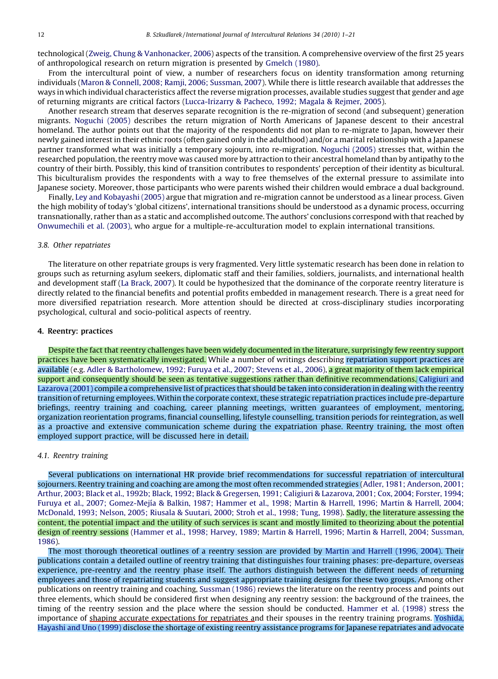technological [\(Zweig, Chung & Vanhonacker, 2006\)](#page-20-0) aspects of the transition. A comprehensive overview of the first 25 years of anthropological research on return migration is presented by [Gmelch \(1980\)](#page-18-0).

From the intercultural point of view, a number of researchers focus on identity transformation among returning individuals [\(Maron & Connell, 2008; Ramji, 2006; Sussman, 2007](#page-19-0)). While there is little research available that addresses the ways in which individual characteristics affect the reverse migration processes, available studies suggest that gender and age of returning migrants are critical factors ([Lucca-Irizarry & Pacheco, 1992; Magala & Rejmer, 2005](#page-19-0)).

Another research stream that deserves separate recognition is the re-migration of second (and subsequent) generation migrants. [Noguchi \(2005\)](#page-19-0) describes the return migration of North Americans of Japanese descent to their ancestral homeland. The author points out that the majority of the respondents did not plan to re-migrate to Japan, however their newly gained interest in their ethnic roots (often gained only in the adulthood) and/or a marital relationship with a Japanese partner transformed what was initially a temporary sojourn, into re-migration. [Noguchi \(2005\)](#page-19-0) stresses that, within the researched population, the reentry move was caused more by attraction to their ancestral homeland than by antipathy to the country of their birth. Possibly, this kind of transition contributes to respondents' perception of their identity as bicultural. This biculturalism provides the respondents with a way to free themselves of the external pressure to assimilate into Japanese society. Moreover, those participants who were parents wished their children would embrace a dual background.

Finally, [Ley and Kobayashi \(2005\)](#page-19-0) argue that migration and re-migration cannot be understood as a linear process. Given the high mobility of today's 'global citizens', international transitions should be understood as a dynamic process, occurring transnationally, rather than as a static and accomplished outcome. The authors' conclusions correspond with that reached by [Onwumechili et al. \(2003\)](#page-19-0), who argue for a multiple-re-acculturation model to explain international transitions.

### 3.8. Other repatriates

The literature on other repatriate groups is very fragmented. Very little systematic research has been done in relation to groups such as returning asylum seekers, diplomatic staff and their families, soldiers, journalists, and international health and development staff [\(La Brack, 2007\)](#page-19-0). It could be hypothesized that the dominance of the corporate reentry literature is directly related to the financial benefits and potential profits embedded in management research. There is a great need for more diversified repatriation research. More attention should be directed at cross-disciplinary studies incorporating psychological, cultural and socio-political aspects of reentry.

#### 4. Reentry: practices

Despite the fact that reentry challenges have been widely documented in the literature, surprisingly few reentry support practices have been systematically investigated. While a number of writings describing repatriation support practices are available (e.g. [Adler & Bartholomew, 1992; Furuya et al., 2007; Stevens et al., 2006\)](#page-18-0), a great majority of them lack empirical support and consequently should be seen as tentative suggestions rather than definitive recommendations. [Caligiuri and](#page-18-0) [Lazarova \(2001\)](#page-18-0) compile a comprehensive list of practices that should be taken into consideration in dealing with the reentry transition of returning employees. Within the corporate context, these strategic repatriation practices include pre-departure briefings, reentry training and coaching, career planning meetings, written guarantees of employment, mentoring, organization reorientation programs, financial counselling, lifestyle counselling, transition periods for reintegration, as well as a proactive and extensive communication scheme during the expatriation phase. Reentry training, the most often employed support practice, will be discussed here in detail.

#### 4.1. Reentry training

Several publications on international HR provide brief recommendations for successful repatriation of intercultural sojourners. Reentry training and coaching are among the most often recommended strategies [\(Adler, 1981; Anderson, 2001;](#page-18-0) [Arthur, 2003; Black et al., 1992b; Black, 1992; Black & Gregersen, 1991; Caligiuri & Lazarova, 2001; Cox, 2004; Forster, 1994;](#page-18-0) Furuya et al., 2007; Gomez-Mejía & Balkin, 1987; Hammer et al., 1998; Martin & Harrell, 1996; Martin & Harrell, 2004; [McDonald, 1993; Nelson, 2005; Riusala & Suutari, 2000; Stroh et al., 1998; Tung, 1998\)](#page-18-0). Sadly, the literature assessing the content, the potential impact and the utility of such services is scant and mostly limited to theorizing about the potential design of reentry sessions [\(Hammer et al., 1998; Harvey, 1989; Martin & Harrell, 1996; Martin & Harrell, 2004; Sussman,](#page-19-0) [1986](#page-19-0)).

The most thorough theoretical outlines of a reentry session are provided by [Martin and Harrell \(1996, 2004\)](#page-19-0). Their publications contain a detailed outline of reentry training that distinguishes four training phases: pre-departure, overseas experience, pre-reentry and the reentry phase itself. The authors distinguish between the different needs of returning employees and those of repatriating students and suggest appropriate training designs for these two groups. Among other publications on reentry training and coaching, [Sussman \(1986\)](#page-20-0) reviews the literature on the reentry process and points out three elements, which should be considered first when designing any reentry session: the background of the trainees, the timing of the reentry session and the place where the session should be conducted. [Hammer et al. \(1998\)](#page-19-0) stress the importance of shaping accurate expectations for repatriates and their spouses in the reentry training programs. [Yoshida,](#page-20-0) [Hayashi and Uno \(1999\)](#page-20-0) disclose the shortage of existing reentry assistance programs for Japanese repatriates and advocate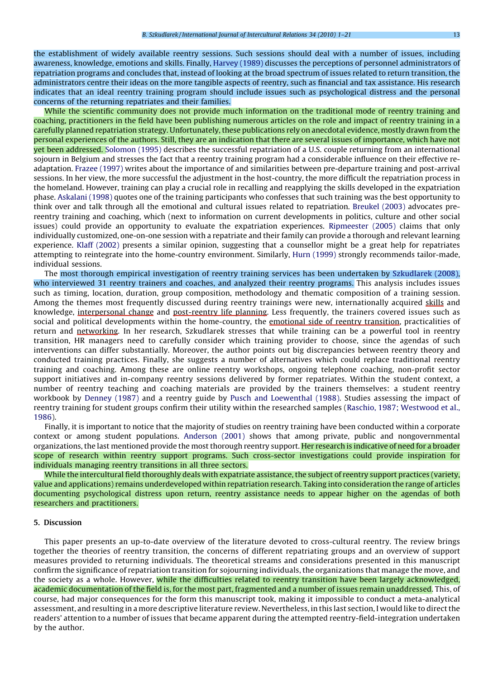the establishment of widely available reentry sessions. Such sessions should deal with a number of issues, including awareness, knowledge, emotions and skills. Finally, [Harvey \(1989\)](#page-19-0) discusses the perceptions of personnel administrators of repatriation programs and concludes that, instead of looking at the broad spectrum of issues related to return transition, the administrators centre their ideas on the more tangible aspects of reentry, such as financial and tax assistance. His research indicates that an ideal reentry training program should include issues such as psychological distress and the personal concerns of the returning repatriates and their families.

While the scientific community does not provide much information on the traditional mode of reentry training and coaching, practitioners in the field have been publishing numerous articles on the role and impact of reentry training in a carefully planned repatriation strategy. Unfortunately, these publications rely on anecdotal evidence, mostly drawn from the personal experiences of the authors. Still, they are an indication that there are several issues of importance, which have not yet been addressed. [Solomon \(1995\)](#page-20-0) describes the successful repatriation of a U.S. couple returning from an international sojourn in Belgium and stresses the fact that a reentry training program had a considerable influence on their effective readaptation. [Frazee \(1997\)](#page-18-0) writes about the importance of and similarities between pre-departure training and post-arrival sessions. In her view, the more successful the adjustment in the host-country, the more difficult the repatriation process in the homeland. However, training can play a crucial role in recalling and reapplying the skills developed in the expatriation phase. [Askalani \(1998\)](#page-18-0) quotes one of the training participants who confesses that such training was the best opportunity to think over and talk through all the emotional and cultural issues related to repatriation. [Breukel \(2003\)](#page-18-0) advocates prereentry training and coaching, which (next to information on current developments in politics, culture and other social issues) could provide an opportunity to evaluate the expatriation experiences. [Ripmeester \(2005\)](#page-20-0) claims that only individually customized, one-on-one session with a repatriate and their family can provide a thorough and relevant learning experience. [Klaff \(2002\)](#page-19-0) presents a similar opinion, suggesting that a counsellor might be a great help for repatriates attempting to reintegrate into the home-country environment. Similarly, [Hurn \(1999\)](#page-19-0) strongly recommends tailor-made, individual sessions.

The most thorough empirical investigation of reentry training services has been undertaken by [Szkudlarek \(2008\)](#page-20-0), who interviewed 31 reentry trainers and coaches, and analyzed their reentry programs. This analysis includes issues such as timing, location, duration, group composition, methodology and thematic composition of a training session. Among the themes most frequently discussed during reentry trainings were new, internationally acquired skills and knowledge, interpersonal change and post-reentry life planning. Less frequently, the trainers covered issues such as social and political developments within the home-country, the emotional side of reentry transition, practicalities of return and networking. In her research, Szkudlarek stresses that while training can be a powerful tool in reentry transition, HR managers need to carefully consider which training provider to choose, since the agendas of such interventions can differ substantially. Moreover, the author points out big discrepancies between reentry theory and conducted training practices. Finally, she suggests a number of alternatives which could replace traditional reentry training and coaching. Among these are online reentry workshops, ongoing telephone coaching, non-profit sector support initiatives and in-company reentry sessions delivered by former repatriates. Within the student context, a number of reentry teaching and coaching materials are provided by the trainers themselves: a student reentry workbook by [Denney \(1987\)](#page-18-0) and a reentry guide by [Pusch and Loewenthal \(1988\)](#page-20-0). Studies assessing the impact of reentry training for student groups confirm their utility within the researched samples [\(Raschio, 1987; Westwood et al.,](#page-20-0) [1986\)](#page-20-0).

Finally, it is important to notice that the majority of studies on reentry training have been conducted within a corporate context or among student populations. [Anderson \(2001\)](#page-18-0) shows that among private, public and nongovernmental organizations, the last mentioned provide the most thorough reentry support. Her research is indicative of need for a broader scope of research within reentry support programs. Such cross-sector investigations could provide inspiration for individuals managing reentry transitions in all three sectors.

While the intercultural field thoroughly deals with expatriate assistance, the subject of reentry support practices (variety, value and applications) remains underdeveloped within repatriation research. Taking into consideration the range of articles documenting psychological distress upon return, reentry assistance needs to appear higher on the agendas of both researchers and practitioners.

#### 5. Discussion

This paper presents an up-to-date overview of the literature devoted to cross-cultural reentry. The review brings together the theories of reentry transition, the concerns of different repatriating groups and an overview of support measures provided to returning individuals. The theoretical streams and considerations presented in this manuscript confirm the significance of repatriation transition for sojourning individuals, the organizations that manage the move, and the society as a whole. However, while the difficulties related to reentry transition have been largely acknowledged, academic documentation of the field is, for the most part, fragmented and a number of issues remain unaddressed. This, of course, had major consequences for the form this manuscript took, making it impossible to conduct a meta-analytical assessment, and resulting in a more descriptive literature review. Nevertheless, in this last section, I would like to direct the readers' attention to a number of issues that became apparent during the attempted reentry-field-integration undertaken by the author.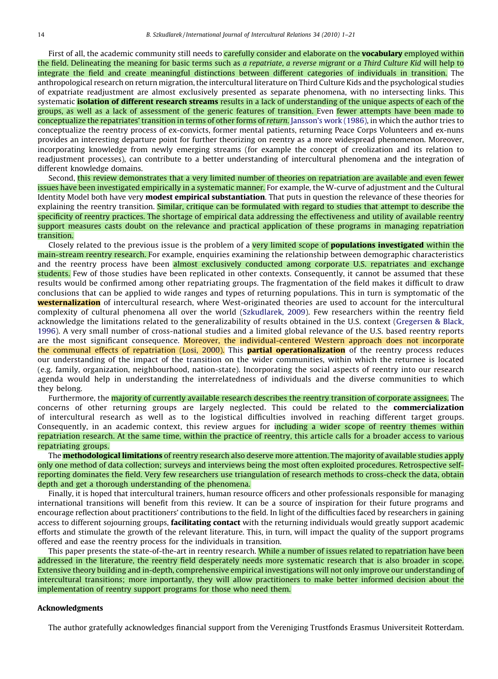First of all, the academic community still needs to carefully consider and elaborate on the **vocabulary** employed within the field. Delineating the meaning for basic terms such as a repatriate, a reverse migrant or a Third Culture Kid will help to integrate the field and create meaningful distinctions between different categories of individuals in transition. The anthropological research on return migration, the intercultural literature on Third Culture Kids and the psychological studies of expatriate readjustment are almost exclusively presented as separate phenomena, with no intersecting links. This systematic **isolation of different research streams** results in a lack of understanding of the unique aspects of each of the groups, as well as a lack of assessment of the generic features of transition. Even fewer attempts have been made to conceptualize the repatriates' transition in terms of other forms of return. [Jansson's work \(1986\)](#page-19-0), in which the author tries to conceptualize the reentry process of ex-convicts, former mental patients, returning Peace Corps Volunteers and ex-nuns provides an interesting departure point for further theorizing on reentry as a more widespread phenomenon. Moreover, incorporating knowledge from newly emerging streams (for example the concept of creolization and its relation to readjustment processes), can contribute to a better understanding of intercultural phenomena and the integration of different knowledge domains.

Second, this review demonstrates that a very limited number of theories on repatriation are available and even fewer issues have been investigated empirically in a systematic manner. For example, the W-curve of adjustment and the Cultural Identity Model both have very **modest empirical substantiation**. That puts in question the relevance of these theories for explaining the reentry transition. Similar, critique can be formulated with regard to studies that attempt to describe the specificity of reentry practices. The shortage of empirical data addressing the effectiveness and utility of available reentry support measures casts doubt on the relevance and practical application of these programs in managing repatriation transition.

Closely related to the previous issue is the problem of a very limited scope of **populations investigated** within the main-stream reentry research. For example, enquiries examining the relationship between demographic characteristics and the reentry process have been almost exclusively conducted among corporate U.S. repatriates and exchange students. Few of those studies have been replicated in other contexts. Consequently, it cannot be assumed that these results would be confirmed among other repatriating groups. The fragmentation of the field makes it difficult to draw conclusions that can be applied to wide ranges and types of returning populations. This in turn is symptomatic of the **westernalization** of intercultural research, where West-originated theories are used to account for the intercultural complexity of cultural phenomena all over the world ([Szkudlarek, 2009\)](#page-20-0). Few researchers within the reentry field acknowledge the limitations related to the generalizability of results obtained in the U.S. context [\(Gregersen & Black,](#page-18-0) [1996\)](#page-18-0). A very small number of cross-national studies and a limited global relevance of the U.S. based reentry reports are the most significant consequence. Moreover, the individual-centered Western approach does not incorporate the communal effects of repatriation [\(Losi, 2000\)](#page-19-0). This **partial operationalization** of the reentry process reduces our understanding of the impact of the transition on the wider communities, within which the returnee is located (e.g. family, organization, neighbourhood, nation-state). Incorporating the social aspects of reentry into our research agenda would help in understanding the interrelatedness of individuals and the diverse communities to which they belong.

Furthermore, the majority of currently available research describes the reentry transition of corporate assignees. The concerns of other returning groups are largely neglected. This could be related to the commercialization of intercultural research as well as to the logistical difficulties involved in reaching different target groups. Consequently, in an academic context, this review argues for including a wider scope of reentry themes within repatriation research. At the same time, within the practice of reentry, this article calls for a broader access to various repatriating groups.

The **methodological limitations** of reentry research also deserve more attention. The majority of available studies apply only one method of data collection; surveys and interviews being the most often exploited procedures. Retrospective selfreporting dominates the field. Very few researchers use triangulation of research methods to cross-check the data, obtain depth and get a thorough understanding of the phenomena.

Finally, it is hoped that intercultural trainers, human resource officers and other professionals responsible for managing international transitions will benefit from this review. It can be a source of inspiration for their future programs and encourage reflection about practitioners' contributions to the field. In light of the difficulties faced by researchers in gaining access to different sojourning groups, **facilitating contact** with the returning individuals would greatly support academic efforts and stimulate the growth of the relevant literature. This, in turn, will impact the quality of the support programs offered and ease the reentry process for the individuals in transition.

This paper presents the state-of-the-art in reentry research. While a number of issues related to repatriation have been addressed in the literature, the reentry field desperately needs more systematic research that is also broader in scope. Extensive theory building and in-depth, comprehensive empirical investigations will not only improve our understanding of intercultural transitions; more importantly, they will allow practitioners to make better informed decision about the implementation of reentry support programs for those who need them.

#### Acknowledgments

The author gratefully acknowledges financial support from the Vereniging Trustfonds Erasmus Universiteit Rotterdam.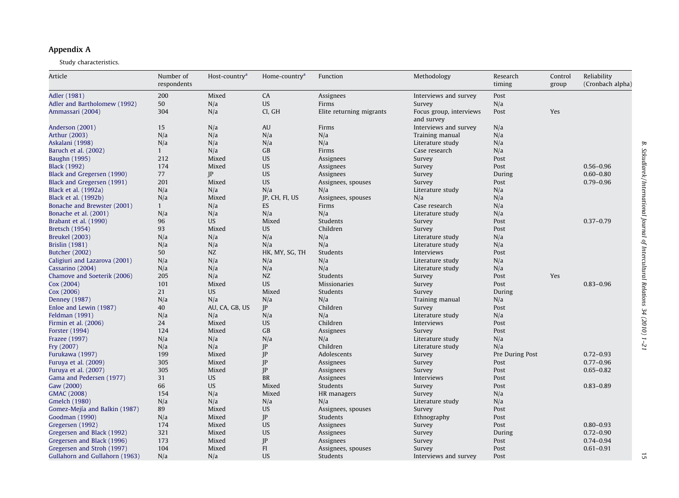# <span id="page-14-0"></span>Appendix A

Study characteristics.

| Article                        | Number of<br>respondents | Host-country <sup>a</sup> | Home-country <sup>a</sup> | Function                 | Methodology                           | Research<br>timing | Control<br>group | Reliability<br>(Cronbach alpha) |
|--------------------------------|--------------------------|---------------------------|---------------------------|--------------------------|---------------------------------------|--------------------|------------------|---------------------------------|
| Adler (1981)                   | 200                      | Mixed                     | CA                        | Assignees                | Interviews and survey                 | Post               |                  |                                 |
| Adler and Bartholomew (1992)   | 50                       | N/a                       | <b>US</b>                 | Firms                    | Survey                                | N/a                |                  |                                 |
| Ammassari (2004)               | 304                      | N/a                       | CI, GH                    | Elite returning migrants | Focus group, interviews<br>and survey | Post               | Yes              |                                 |
| Anderson (2001)                | 15                       | N/a                       | <b>AU</b>                 | Firms                    | Interviews and survey                 | N/a                |                  |                                 |
| Arthur (2003)                  | N/a                      | N/a                       | N/a                       | N/a                      | Training manual                       | N/a                |                  |                                 |
| Askalani (1998)                | N/a                      | N/a                       | N/a                       | N/a                      | Literature study                      | N/a                |                  |                                 |
| Baruch et al. (2002)           | $\mathbf{1}$             | N/a                       | GB                        | Firms                    | Case research                         | N/a                |                  |                                 |
| <b>Baughn</b> (1995)           | 212                      | Mixed                     | <b>US</b>                 | Assignees                | Survey                                | Post               |                  |                                 |
| <b>Black</b> (1992)            | 174                      | Mixed                     | <b>US</b>                 | Assignees                | Survey                                | Post               |                  | $0.56 - 0.96$                   |
| Black and Gregersen (1990)     | 77                       | P                         | <b>US</b>                 | Assignees                | Survey                                | During             |                  | $0.60 - 0.80$                   |
| Black and Gregersen (1991)     | 201                      | Mixed                     | <b>US</b>                 | Assignees, spouses       | Survey                                | Post               |                  | $0.79 - 0.96$                   |
| Black et al. (1992a)           | N/a                      | N/a                       | N/a                       | N/a                      | Literature study                      | N/a                |                  |                                 |
| Black et al. (1992b)           | N/a                      | Mixed                     | IP, CH, FI, US            | Assignees, spouses       | N/a                                   | N/a                |                  |                                 |
| Bonache and Brewster (2001)    | $\mathbf{1}$             | N/a                       | <b>ES</b>                 | Firms                    | Case research                         | N/a                |                  |                                 |
| Bonache et al. (2001)          | N/a                      | N/a                       | N/a                       | N/a                      | Literature study                      | N/a                |                  |                                 |
| Brabant et al. (1990)          | 96                       | <b>US</b>                 | Mixed                     | Students                 | Survey                                | Post               |                  | $0.37 - 0.79$                   |
| <b>Bretsch (1954)</b>          | 93                       | Mixed                     | <b>US</b>                 | Children                 | Survey                                | Post               |                  |                                 |
| <b>Breukel</b> (2003)          | N/a                      | N/a                       | N/a                       | N/a                      | Literature study                      | N/a                |                  |                                 |
| <b>Brislin</b> (1981)          | N/a                      | N/a                       | N/a                       | N/a                      | Literature study                      | N/a                |                  |                                 |
| <b>Butcher (2002)</b>          | 50                       | NZ                        | HK, MY, SG, TH            | Students                 | Interviews                            | Post               |                  |                                 |
| Caligiuri and Lazarova (2001)  | N/a                      | N/a                       | N/a                       | N/a                      | Literature study                      | N/a                |                  |                                 |
| Cassarino (2004)               | N/a                      | N/a                       | N/a                       | N/a                      | Literature study                      | N/a                |                  |                                 |
| Chamove and Soeterik (2006)    | 205                      | N/a                       | NZ                        | Students                 | Survey                                | Post               | Yes              |                                 |
| Cox (2004)                     | 101                      | Mixed                     | <b>US</b>                 | <b>Missionaries</b>      | Survey                                | Post               |                  | $0.83 - 0.96$                   |
| Cox (2006)                     | 21                       | <b>US</b>                 | Mixed                     | Students                 | Survey                                | During             |                  |                                 |
| Denney (1987)                  | N/a                      | N/a                       | N/a                       | N/a                      | Training manual                       | N/a                |                  |                                 |
| Enloe and Lewin (1987)         | 40                       | AU, CA, GB, US            | IP                        | Children                 | Survey                                | Post               |                  |                                 |
| Feldman (1991)                 | N/a                      | N/a                       | N/a                       | N/a                      | Literature study                      | N/a                |                  |                                 |
| Firmin et al. (2006)           | 24                       | Mixed                     | <b>US</b>                 | Children                 | Interviews                            | Post               |                  |                                 |
| Forster (1994)                 | 124                      | Mixed                     | GB                        | Assignees                | Survey                                | Post               |                  |                                 |
| Frazee (1997)                  | N/a                      | N/a                       | N/a                       | N/a                      | Literature study                      | N/a                |                  |                                 |
|                                |                          |                           | IP                        | Children                 |                                       |                    |                  |                                 |
| Fry (2007)                     | N/a                      | N/a                       |                           |                          | Literature study                      | N/a                |                  | $0.72 - 0.93$                   |
| Furukawa (1997)                | 199                      | Mixed                     | JP                        | Adolescents              | Survey                                | Pre During Post    |                  | $0.77 - 0.96$                   |
| Furuya et al. (2009)           | 305<br>305               | Mixed                     | IP                        | Assignees                | Survey                                | Post               |                  | $0.65 - 0.82$                   |
| Furuya et al. (2007)           |                          | Mixed                     | IP                        | Assignees                | Survey                                | Post               |                  |                                 |
| Gama and Pedersen (1977)       | 31                       | <b>US</b>                 | <b>BR</b>                 | Assignees                | Interviews                            | Post               |                  |                                 |
| Gaw (2000)                     | 66                       | <b>US</b>                 | Mixed                     | Students                 | Survey                                | Post               |                  | $0.83 - 0.89$                   |
| GMAC (2008)                    | 154                      | N/a                       | Mixed                     | HR managers              | Survey                                | N/a                |                  |                                 |
| Gmelch (1980)                  | N/a                      | N/a                       | N/a                       | N/a                      | Literature study                      | N/a                |                  |                                 |
| Gomez-Mejía and Balkin (1987)  | 89                       | Mixed                     | <b>US</b>                 | Assignees, spouses       | Survey                                | Post               |                  |                                 |
| Goodman (1990)                 | N/a                      | Mixed                     | IP                        | Students                 | Ethnography                           | Post               |                  |                                 |
| Gregersen (1992)               | 174                      | Mixed                     | <b>US</b>                 | Assignees                | Survey                                | Post               |                  | $0.80 - 0.93$                   |
| Gregersen and Black (1992)     | 321                      | Mixed                     | <b>US</b>                 | Assignees                | Survey                                | During             |                  | $0.72 - 0.90$                   |
| Gregersen and Black (1996)     | 173                      | Mixed                     | IP                        | Assignees                | Survey                                | Post               |                  | $0.74 - 0.94$                   |
| Gregersen and Stroh (1997)     | 104                      | Mixed                     | FI                        | Assignees, spouses       | Survey                                | Post               |                  | $0.61 - 0.91$                   |
| Gullahorn and Gullahorn (1963) | N/a                      | N/a                       | <b>US</b>                 | Students                 | Interviews and survey                 | Post               |                  |                                 |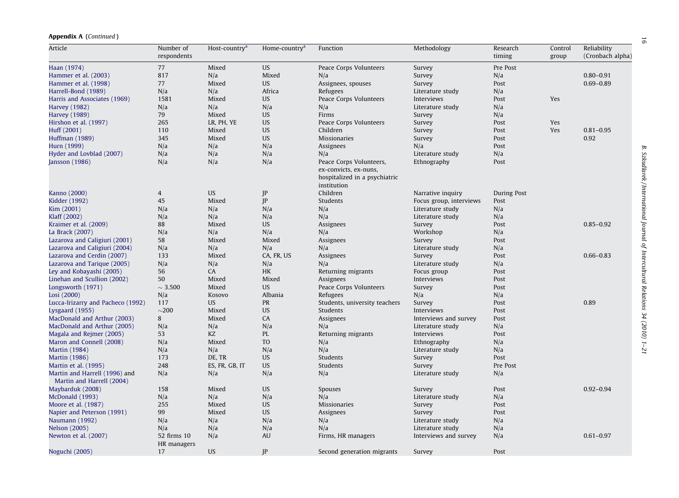| <b>Appendix A (Continued)</b> |  |
|-------------------------------|--|
|-------------------------------|--|

| Article                                                    | Number of<br>respondents   | Host-country <sup>a</sup> | Home-country <sup>a</sup> | Function                                                              | Methodology             | Research<br>timing | Control<br>group | Reliability<br>(Cronbach alpha) |
|------------------------------------------------------------|----------------------------|---------------------------|---------------------------|-----------------------------------------------------------------------|-------------------------|--------------------|------------------|---------------------------------|
| Haan (1974)                                                | 77                         | Mixed                     | <b>US</b>                 | Peace Corps Volunteers                                                | Survey                  | Pre Post           |                  |                                 |
| Hammer et al. (2003)                                       | 817                        | N/a                       | Mixed                     | N/a                                                                   | Survey                  | N/a                |                  | $0.80 - 0.91$                   |
| Hammer et al. (1998)                                       | 77                         | Mixed                     | <b>US</b>                 | Assignees, spouses                                                    | Survey                  | Post               |                  | $0.69 - 0.89$                   |
| Harrell-Bond (1989)                                        | N/a                        | N/a                       | Africa                    | Refugees                                                              | Literature study        | N/a                |                  |                                 |
| Harris and Associates (1969)                               | 1581                       | Mixed                     | <b>US</b>                 | Peace Corps Volunteers                                                | Interviews              | Post               | Yes              |                                 |
| <b>Harvey</b> (1982)                                       | N/a                        | N/a                       | N/a                       | N/a                                                                   | Literature study        | N/a                |                  |                                 |
| <b>Harvey</b> (1989)                                       | 79                         | Mixed                     | <b>US</b>                 | Firms                                                                 | Survey                  | N/a                |                  |                                 |
| Hirshon et al. (1997)                                      | 265                        | LR, PH, YE                | <b>US</b>                 | Peace Corps Volunteers                                                | Survey                  | Post               | Yes              |                                 |
| Huff (2001)                                                | 110                        | Mixed                     | <b>US</b>                 | Children                                                              | Survey                  | Post               | <b>Yes</b>       | $0.81 - 0.95$                   |
| Huffman (1989)                                             | 345                        | Mixed                     | <b>US</b>                 | <b>Missionaries</b>                                                   | Survey                  | Post               |                  | 0.92                            |
| Hurn (1999)                                                | N/a                        | N/a                       | N/a                       | Assignees                                                             | N/a                     | Post               |                  |                                 |
| Hyder and Lovblad (2007)                                   | N/a                        | N/a                       | N/a                       | N/a                                                                   | Literature study        | N/a                |                  |                                 |
| Jansson (1986)                                             | N/a                        | N/a                       | N/a                       | Peace Corps Volunteers,                                               | Ethnography             | Post               |                  |                                 |
|                                                            |                            |                           |                           | ex-convicts, ex-nuns,<br>hospitalized in a psychiatric<br>institution |                         |                    |                  |                                 |
| Kanno (2000)                                               | $\overline{4}$             | <b>US</b>                 | JP                        | Children                                                              | Narrative inquiry       | During Post        |                  |                                 |
| Kidder (1992)                                              | 45                         | Mixed                     | P                         | Students                                                              | Focus group, interviews | Post               |                  |                                 |
| Kim (2001)                                                 | N/a                        | N/a                       | N/a                       | N/a                                                                   | Literature study        | N/a                |                  |                                 |
| Klaff (2002)                                               | N/a                        | N/a                       | N/a                       | N/a                                                                   | Literature study        | N/a                |                  |                                 |
| Kraimer et al. (2009)                                      | 88                         | Mixed                     | <b>US</b>                 | Assignees                                                             | Survey                  | Post               |                  | $0.85 - 0.92$                   |
| La Brack (2007)                                            | N/a                        | N/a                       | N/a                       | N/a                                                                   | Workshop                | N/a                |                  |                                 |
| Lazarova and Caligiuri (2001)                              | 58                         | Mixed                     | Mixed                     | Assignees                                                             | Survey                  | Post               |                  |                                 |
| Lazarova and Caligiuri (2004)                              | N/a                        | N/a                       | N/a                       | N/a                                                                   | Literature study        | N/a                |                  |                                 |
| Lazarova and Cerdin (2007)                                 | 133                        | Mixed                     | CA, FR, US                | Assignees                                                             | Survey                  | Post               |                  | $0.66 - 0.83$                   |
| Lazarova and Tarique (2005)                                | N/a                        | N/a                       | N/a                       | N/a                                                                   | Literature study        | N/a                |                  |                                 |
| Ley and Kobayashi (2005)                                   | 56                         | CA                        | HK                        | Returning migrants                                                    | Focus group             | Post               |                  |                                 |
| Linehan and Scullion (2002)                                | 50                         | Mixed                     | Mixed                     | Assignees                                                             | Interviews              | Post               |                  |                                 |
| Longsworth (1971)                                          | $\sim$ 3.500               | Mixed                     | <b>US</b>                 | Peace Corps Volunteers                                                | Survey                  | Post               |                  |                                 |
| Losi (2000)                                                | N/a                        | Kosovo                    | Albania                   | Refugees                                                              | N/a                     | N/a                |                  |                                 |
| Lucca-Irizarry and Pacheco (1992)                          | 117                        | <b>US</b>                 | <b>PR</b>                 | Students, university teachers                                         | Survey                  | Post               |                  | 0.89                            |
| Lysgaard (1955)                                            | ${\sim}200$                | Mixed                     | <b>US</b>                 | Students                                                              | Interviews              | Post               |                  |                                 |
| MacDonald and Arthur (2003)                                | 8                          | Mixed                     | CA                        | Assignees                                                             | Interviews and survey   | Post               |                  |                                 |
| MacDonald and Arthur (2005)                                | N/a                        | N/a                       | N/a                       | N/a                                                                   | Literature study        | N/a                |                  |                                 |
| Magala and Rejmer (2005)                                   | 53                         | KZ                        | PL                        | Returning migrants                                                    | Interviews              | Post               |                  |                                 |
| Maron and Connell (2008)                                   | N/a                        | Mixed                     | <b>TO</b>                 | N/a                                                                   | Ethnography             | N/a                |                  |                                 |
| <b>Martin</b> (1984)                                       | N/a                        | N/a                       | N/a                       | N/a                                                                   | Literature study        | N/a                |                  |                                 |
| <b>Martin</b> (1986)                                       | 173                        | DE, TR                    | <b>US</b>                 | Students                                                              | Survey                  | Post               |                  |                                 |
| Martin et al. (1995)                                       | 248                        | ES, FR, GB, IT            | <b>US</b>                 | Students                                                              | Survey                  | Pre Post           |                  |                                 |
| Martin and Harrell (1996) and<br>Martin and Harrell (2004) | N/a                        | N/a                       | N/a                       | N/a                                                                   | Literature study        | N/a                |                  |                                 |
| Maybarduk (2008)                                           | 158                        | Mixed                     | <b>US</b>                 | Spouses                                                               | Survey                  | Post               |                  | $0.92 - 0.94$                   |
| McDonald (1993)                                            | N/a                        | N/a                       | N/a                       | N/a                                                                   | Literature study        | N/a                |                  |                                 |
| Moore et al. (1987)                                        | 255                        | Mixed                     | <b>US</b>                 | Missionaries                                                          | Survey                  | Post               |                  |                                 |
| Napier and Peterson (1991)                                 | 99                         | Mixed                     | <b>US</b>                 | Assignees                                                             | Survey                  | Post               |                  |                                 |
| Naumann (1992)                                             | N/a                        | N/a                       | N/a                       | N/a                                                                   | Literature study        | N/a                |                  |                                 |
| <b>Nelson</b> (2005)                                       | N/a                        | N/a                       | N/a                       | N/a                                                                   | Literature study        | N/a                |                  |                                 |
| Newton et al. (2007)                                       | 52 firms 10<br>HR managers | N/a                       | AU                        | Firms, HR managers                                                    | Interviews and survey   | N/a                |                  | $0.61 - 0.97$                   |
| Noguchi (2005)                                             | 17                         | <b>US</b>                 | IP                        | Second generation migrants                                            | Survey                  | Post               |                  |                                 |
|                                                            |                            |                           |                           |                                                                       |                         |                    |                  |                                 |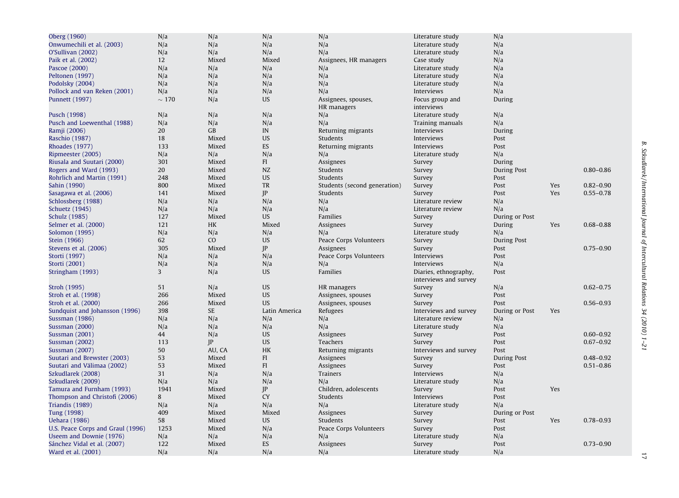| Oberg (1960)                      | N/a         | N/a         | N/a           | N/a                          | Literature study      | N/a            |     |               |
|-----------------------------------|-------------|-------------|---------------|------------------------------|-----------------------|----------------|-----|---------------|
| Onwumechili et al. (2003)         | N/a         | N/a         | N/a           | N/a                          | Literature study      | N/a            |     |               |
| O'Sullivan (2002)                 | N/a         | N/a         | N/a           | N/a                          | Literature study      | N/a            |     |               |
| Paik et al. (2002)                | 12          | Mixed       | Mixed         | Assignees, HR managers       | Case study            | N/a            |     |               |
| Pascoe (2000)                     | N/a         | N/a         | N/a           | N/a                          | Literature study      | N/a            |     |               |
| Peltonen (1997)                   | N/a         | N/a         | N/a           | N/a                          | Literature study      | N/a            |     |               |
| Podolsky (2004)                   | N/a         | N/a         | N/a           | N/a                          | Literature study      | N/a            |     |               |
| Pollock and van Reken (2001)      | N/a         | N/a         | N/a           | N/a                          | Interviews            | N/a            |     |               |
| Punnett (1997)                    | $\sim 170$  | N/a         | <b>US</b>     | Assignees, spouses,          | Focus group and       | During         |     |               |
|                                   |             |             |               | HR managers                  | interviews            |                |     |               |
| Pusch (1998)                      | N/a         | N/a         | N/a           | N/a                          | Literature study      | N/a            |     |               |
| Pusch and Loewenthal (1988)       | N/a         | N/a         | N/a           | N/a                          | Training manuals      | N/a            |     |               |
| Ramji (2006)                      | 20          | GB          | IN            | Returning migrants           | Interviews            | During         |     |               |
| Raschio (1987)                    | 18          | Mixed       | <b>US</b>     | Students                     | Interviews            | Post           |     |               |
| <b>Rhoades</b> (1977)             | 133         | Mixed       | ES            | Returning migrants           | Interviews            | Post           |     |               |
| Ripmeester (2005)                 | N/a         | N/a         | N/a           | N/a                          | Literature study      | N/a            |     |               |
| Riusala and Suutari (2000)        | 301         | Mixed       | FI            | Assignees                    |                       | During         |     |               |
|                                   | 20          | Mixed       | NZ            | Students                     | Survey                |                |     | $0.80 - 0.86$ |
| Rogers and Ward (1993)            |             |             |               |                              | Survey                | During Post    |     |               |
| Rohrlich and Martin (1991)        | 248         | Mixed       | <b>US</b>     | Students                     | Survey                | Post           |     |               |
| Sahin (1990)                      | 800         | Mixed       | TR            | Students (second generation) | Survey                | Post           | Yes | $0.82 - 0.90$ |
| Sasagawa et al. (2006)            | 141         | Mixed       | IP            | Students                     | Survey                | Post           | Yes | $0.55 - 0.78$ |
| Schlossberg (1988)                | N/a         | N/a         | N/a           | N/a                          | Literature review     | N/a            |     |               |
| Schuetz (1945)                    | N/a         | N/a         | N/a           | N/a                          | Literature review     | N/a            |     |               |
| Schulz (1985)                     | 127         | Mixed       | <b>US</b>     | Families                     | Survey                | During or Post |     |               |
| Selmer et al. (2000)              | 121         | <b>HK</b>   | Mixed         | Assignees                    | Survey                | During         | Yes | $0.68 - 0.88$ |
| Solomon (1995)                    | N/a         | N/a         | N/a           | N/a                          | Literature study      | N/a            |     |               |
| Stein (1966)                      | 62          | CO          | <b>US</b>     | Peace Corps Volunteers       | Survey                | During Post    |     |               |
| Stevens et al. (2006)             | 305         | Mixed       | IP            | Assignees                    | Survey                | Post           |     | $0.75 - 0.90$ |
| Storti (1997)                     | N/a         | N/a         | N/a           | Peace Corps Volunteers       | Interviews            | Post           |     |               |
| Storti (2001)                     | N/a         | N/a         | N/a           | N/a                          | Interviews            | N/a            |     |               |
| Stringham (1993)                  | 3           | N/a         | <b>US</b>     | Families                     | Diaries, ethnography, | Post           |     |               |
|                                   |             |             |               |                              | interviews and survey |                |     |               |
| Stroh (1995)                      | 51          | N/a         | <b>US</b>     | HR managers                  | Survey                | N/a            |     | $0.62 - 0.75$ |
| Stroh et al. (1998)               | 266         | Mixed       | <b>US</b>     | Assignees, spouses           | Survey                | Post           |     |               |
| Stroh et al. (2000)               | 266         | Mixed       | <b>US</b>     | Assignees, spouses           | Survey                | Post           |     | $0.56 - 0.93$ |
| Sundquist and Johansson (1996)    | 398         | <b>SE</b>   | Latin America | Refugees                     | Interviews and survey | During or Post | Yes |               |
| Sussman (1986)                    | N/a         | N/a         | N/a           | N/a                          | Literature review     | N/a            |     |               |
| <b>Sussman (2000)</b>             | N/a         | N/a         | N/a           | N/a                          | Literature study      | N/a            |     |               |
| <b>Sussman (2001)</b>             | 44          | N/a         | <b>US</b>     | Assignees                    | Survey                | Post           |     | $0.60 - 0.92$ |
| <b>Sussman (2002)</b>             | 113         | $_{\rm IP}$ | <b>US</b>     | Teachers                     | Survey                | Post           |     | $0.67 - 0.92$ |
| <b>Sussman (2007)</b>             | 50          | AU, CA      | HK            | Returning migrants           | Interviews and survey | Post           |     |               |
| Suutari and Brewster (2003)       | 53          | Mixed       | FI            | Assignees                    | Survey                | During Post    |     | $0.48 - 0.92$ |
| Suutari and Välimaa (2002)        | 53          | Mixed       | FI            | Assignees                    | Survey                | Post           |     | $0.51 - 0.86$ |
| Szkudlarek (2008)                 | 31          | N/a         | N/a           | Trainers                     | Interviews            | N/a            |     |               |
|                                   |             | N/a         |               |                              |                       | N/a            |     |               |
| Szkudlarek (2009)                 | N/a<br>1941 | Mixed       | N/a           | N/a                          | Literature study      |                |     |               |
| Tamura and Furnham (1993)         |             |             | P             | Children, adolescents        | Survey                | Post           | Yes |               |
| Thompson and Christofi (2006)     | 8           | Mixed       | <b>CY</b>     | Students                     | Interviews            | Post           |     |               |
| Triandis (1989)                   | N/a         | N/a         | N/a           | N/a                          | Literature study      | N/a            |     |               |
| Tung (1998)                       | 409         | Mixed       | Mixed         | Assignees                    | Survey                | During or Post |     |               |
| <b>Uehara</b> (1986)              | 58          | Mixed       | <b>US</b>     | Students                     | Survey                | Post           | Yes | $0.78 - 0.93$ |
| U.S. Peace Corps and Graul (1996) | 1253        | Mixed       | N/a           | Peace Corps Volunteers       | Survey                | Post           |     |               |
| Useem and Downie (1976)           | N/a         | N/a         | N/a           | N/a                          | Literature study      | N/a            |     |               |
| Sánchez Vidal et al. (2007)       | 122         | Mixed       | ES            | Assignees                    | Survey                | Post           |     | $0.73 - 0.90$ |
| Ward et al. (2001)                | N/a         | N/a         | N/a           | N/a                          | Literature study      | N/a            |     |               |
|                                   |             |             |               |                              |                       |                |     |               |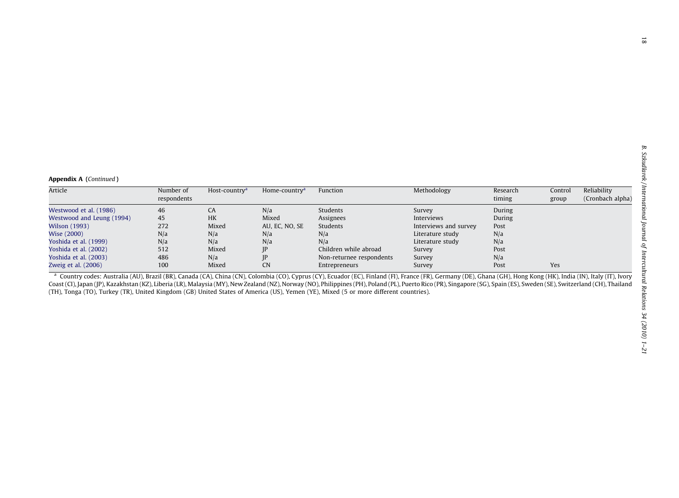<span id="page-17-0"></span>

| Article                   | Number of   | Host-country <sup>a</sup> | Home-country <sup>a</sup> | Function                 | Methodology           | Research | Control | Reliability      |
|---------------------------|-------------|---------------------------|---------------------------|--------------------------|-----------------------|----------|---------|------------------|
|                           | respondents |                           |                           |                          |                       | timing   | group   | (Cronbach alpha) |
|                           |             |                           |                           |                          |                       |          |         |                  |
| Westwood et al. (1986)    | 46          | CA                        | N/a                       | Students                 | Survey                | During   |         |                  |
| Westwood and Leung (1994) | 45          | <b>HK</b>                 | Mixed                     | Assignees                | Interviews            | During   |         |                  |
| <b>Wilson</b> (1993)      | 272         | Mixed                     | AU, EC, NO, SE            | Students                 | Interviews and survey | Post     |         |                  |
| Wise (2000)               | N/a         | N/a                       | N/a                       | N/a                      | Literature study      | N/a      |         |                  |
| Yoshida et al. (1999)     | N/a         | N/a                       | N/a                       | N/a                      | Literature study      | N/a      |         |                  |
| Yoshida et al. (2002)     | 512         | Mixed                     | JP                        | Children while abroad    | Survey                | Post     |         |                  |
| Yoshida et al. (2003)     | 486         | N/a                       | P                         | Non-returnee respondents | Survey                | N/a      |         |                  |
| Zweig et al. (2006)       | 100         | Mixed                     | <b>CN</b>                 | Entrepreneurs            | Survey                | Post     | Yes     |                  |
|                           |             |                           |                           |                          |                       |          |         |                  |

<sup>a</sup> Country codes: Australia (AU), Brazil (BR), Canada (CA), China (CN), Colombia (CO), Cyprus (CY), Ecuador (EC), Finland (FI), France (FR), Germany (DE), Ghana (GH), Hong Kong (HK), India (IN), Italy (IT), Ivory Coast (CI), Japan (JP), Kazakhstan (KZ), Liberia (LR), Malaysia (MY), New Zealand (NZ), Norway (NO), Philippines (PH), Poland (PL), Puerto Rico (PR), Singapore (SG), Spain (ES), Sweden (SE), Switzerland (CH), Thailand (TH), Tonga (TO), Turkey (TR), United Kingdom (GB) United States of America (US), Yemen (YE), Mixed (5 or more different countries).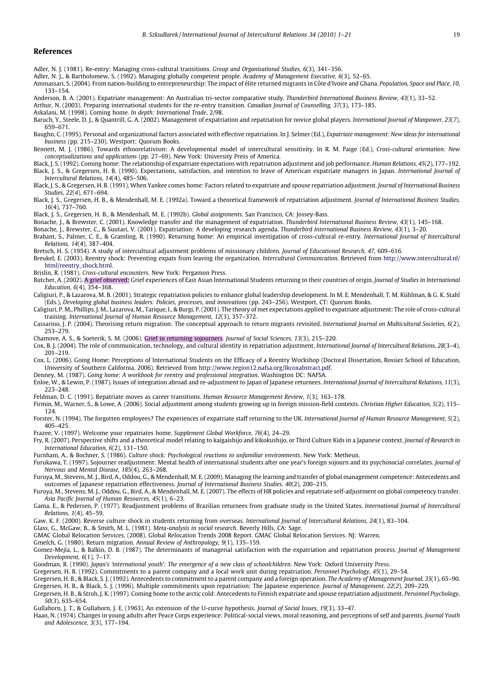#### <span id="page-18-0"></span>References

- Adler, N. J. (1981). Re-entry: Managing cross-cultural transitions. Group and Organisational Studies, 6(3), 341–356.
- Adler, N. J., & Bartholomew, S. (1992). Managing globally competent people. Academy of Management Executive, 6(3), 52–65.
- Ammassari, S. (2004). From nation-building to entrepreneurship: The impact of élite returned migrants in Côte d'Ivoire and Ghana. Population, Space and Place, 10, 133–154.
- Anderson, B. A. (2001). Expatriate management: An Australian tri-sector comparative study. Thunderbird International Business Review, 43(1), 33–52.
- Arthur, N. (2003). Preparing international students for the re-entry transition. Canadian Journal of Counselling, 37(3), 173–185.
- Askalani, M. (1998). Coming home. In depth: International Trade, 2/98.
- Baruch, Y., Steele, D. J., & Quantrill, G. A. (2002). Management of expatriation and repatriation for novice global players. International Journal of Manpower, 23(7), 659–671.
- Baughn, C. (1995). Personal and organizational factors associated with effective repatriation. In I. Selmer (Ed.), Expatriate management: New ideas for international business (pp. 215–230). Westport: Quorum Books.
- Bennett, M. J. (1986). Towards ethnorelativism: A developmental model of intercultural sensitivity. In R. M. Paige (Ed.), Cross-cultural orientation: New conceptualizations and applications (pp. 27–69). New York: University Press of America.
- Black, J. S. (1992). Coming home: The relationship of expatriate expectations with repatriation adjustment and job performance. Human Relations, 45(2), 177–192. Black, J. S., & Gregersen, H. B. (1990). Expectations, satisfaction, and intention to leave of American expatriate managers in Japan. International Journal of Intercultural Relations, 14(4), 485–506.
- Black, J. S., & Gregersen, H. B. (1991). When Yankee comes home: Factors related to expatriate and spouse repatriation adjustment. Journal of International Business Studies, 22(4), 671–694.
- Black, J. S., Gregersen, H. B., & Mendenhall, M. E. (1992a). Toward a theoretical framework of repatriation adjustment. Journal of International Business Studies, 16(4), 737–760.
- Black, J. S., Gregersen, H. B., & Mendenhall, M. E. (1992b). Global assignments. San Francisco, CA: Jossey-Bass.
- Bonache, J., & Brewster, C. (2001). Knowledge transfer and the management of expatriation. Thunderbird International Business Review, 43(1), 145–168.
- Bonache, J., Brewster, C., & Suutari, V. (2001). Expatriation: A developing research agenda. Thunderbird International Business Review, 43(1), 3–20.
- Brabant, S., Palmer, C. E., & Gramling, R. (1990). Returning home: An empirical investigation of cross-cultural re-entry. International Journal of Intercultural Relations, 14(4), 387–404.
- Bretsch, H. S. (1954). A study of intercultural adjustment problems of missionary children. Journal of Educational Research, 47, 609–616.
- Breukel, E. (2003). Reentry shock: Preventing expats from leaving the organization. Intercultural Communication. Retrieved from [http://www.intercultural.nl/](http://www.intercultural.nl/html/reentry_shock.html) [html/reentry\\_shock.html](http://www.intercultural.nl/html/reentry_shock.html).
- Brislin, R. (1981). Cross-cultural encounters. New York: Pergamon Press.
- Butcher, A. (2002). A grief observed: Grief experiences of East Asian International Students returning to their countries of origin. Journal of Studies in International Education, 6(4), 354–368.
- Caligiuri, P., & Lazarova, M. B. (2001). Strategic repatriation policies to enhance global leadership development. In M. E. Mendenhall, T. M. Kühlman, & G. K. Stahl (Eds.), Developing global business leaders: Policies, processes, and innovations (pp. 243–256). Westport, CT: Quorum Books.
- Caligiuri, P. M., Phillips, J. M., Lazarova, M., Tarique, I., & Burgi, P. (2001). The theory of met expectations applied to expatriate adjustment: The role of cross-cultural training. International Journal of Human Resource Management, 12(3), 357–372.
- Cassarino, J. P. (2004). Theorising return migration: The conceptual approach to return migrants revisited. International Journal on Multicultural Societies, 6(2), 253–279.
- Chamove, A. S., & Soeterik, S. M. (2006). Grief in returning sojourners. Journal of Social Sciences, 13(3), 215–220.
- Cox, B. J. (2004). The role of communication, technology, and cultural identity in repatriation adjustment. International Journal of Intercultural Relations, 28(3–4), 201–219.
- Cox, L. (2006). Going Home: Perceptions of International Students on the Efficacy of a Reentry Workshop (Doctoral Dissertation, Rossier School of Education, University of Southern California, 2006). Retrieved from [http://www.region12.nafsa.org/lkcoxabstract.pdf.](http://www.region12.nafsa.org/lkcoxabstract.pdf)
- Denney, M. (1987). Going home: A workbook for reentry and professional integration. Washington DC: NAFSA.
- Enloe, W., & Lewin, P. (1987). Issues of integration abroad and re-adjustment to Japan of Japanese returnees. International Journal of Intercultural Relations, 11(3), 223–248.
- Feldman, D. C. (1991). Repatriate moves as career transitions. Human Resource Management Review, 1(3), 163–178.
- Firmin, M., Warner, S., & Lowe, A. (2006). Social adjustment among students growing up in foreign mission-field contexts. Christian Higher Education, 5(2), 115– 124.
- Forster, N. (1994). The forgotten employees? The experiences of expatriate staff returning to the UK. International Journal of Human Resource Management, 5(2), 405–425.
- Frazee, V. (1997). Welcome your repatriates home. Supplement Global Workforce, 76(4), 24–29.
- Fry, R. (2007). Perspective shifts and a theoretical model relating to kaigaishijo and kikokushijo, or Third Culture Kids in a Japanese context. Journal of Research in International Education, 6(2), 131–150.
- Furnham, A., & Bochner, S. (1986). Culture shock: Psychological reactions to unfamiliar environments. New York: Metheun.
- Furukawa, T. (1997). Sojourner readjustment: Mental health of international students after one year's foreign sojourn and its psychosocial correlates. Journal of Nervous and Mental Disease, 185(4), 263–268.
- Furuya, M., Stevens, M. J., Bird, A., Oddou, G., & Mendenhall, M. E. (2009). Managing the learning and transfer of global management competence: Antecedents and outcomes of Japanese repatriation effectiveness. Journal of International Business Studies, 40(2), 200–215.
- Furuya, M., Stevens, M. J., Oddou, G., Bird, A., & Mendenhall, M. E. (2007). The effects of HR policies and repatriate self-adjustment on global competency transfer. Asia Pacific Journal of Human Resources, 45(1), 6–23.
- Gama, E., & Pedersen, P. (1977). Readjustment problems of Brazilian returnees from graduate study in the United States. International Journal of Intercultural Relations, 1(4), 45–59.
- Gaw, K. F. (2000). Reverse culture shock in students returning from overseas. International Journal of Intercultural Relations, 24(1), 83–104.
- Glass, G., McGaw, B., & Smith, M. L. (1981). Meta-analysis in social research. Beverly Hills, CA: Sage.
- GMAC Global Relocation Services. (2008). Global Relocation Trends 2008 Report. GMAC Global Relocation Services. NJ: Warren.
- Gmelch, G. (1980). Return migration. Annual Review of Anthropology, 9(1), 135–159.
- Gomez-Mejía, L., & Balkin, D. B. (1987). The determinants of managerial satisfaction with the expatriation and repatriation process. Journal of Management Development, 6(1), 7–17.
- Goodman, R. (1990). Japan's 'international youth': The emergence of a new class of schoolchildren. New York: Oxford University Press.
- Gregersen, H. B. (1992). Commitments to a parent company and a local work unit during repatriation. Personnel Psychology, 45(1), 29–54.
- Gregersen, H. B., & Black, S. J. (1992). Antecedents to commitment to a parent company and a foreign operation. The Academy of Management Journal, 35(1), 65–90. Gregersen, H. B., & Black, S. J. (1996). Multiple commitments upon repatriation: The Japanese experience. Journal of Management, 22(2), 209–229.
- Gregersen, H. B., & Stroh, J. K. (1997). Coming home to the arctic cold: Antecedents to Finnish expatriate and spouse repatriation adjustment. Personnel Psychology, 50(3), 635–654.
- Gullahorn, J. T., & Gullahorn, J. E. (1963). An extension of the U-curve hypothesis. Journal of Social Issues, 19(3), 33–47.
- Haan, N. (1974). Changes in young adults after Peace Corps experience: Political-social views, moral reasoning, and perceptions of self and parents. Journal Youth and Adolescence, 3(3), 177–194.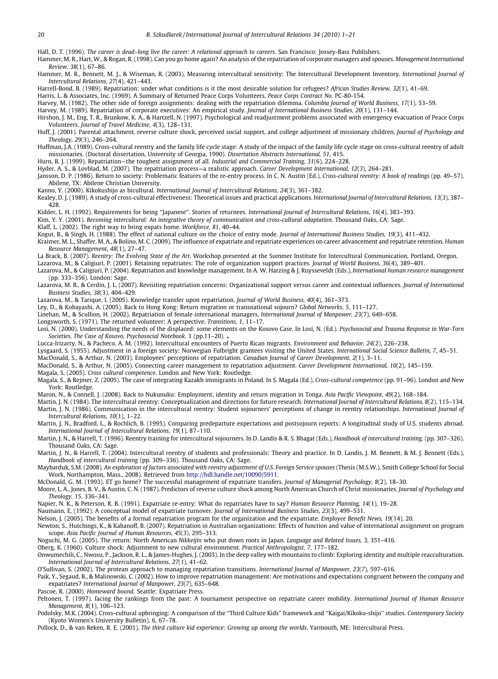<span id="page-19-0"></span>Hall, D. T. (1996). The career is dead–long live the career: A relational approach to careers. San Francisco: Jossey-Bass Publishers.

Hammer, M. R., Hart, W., & Rogan, R. (1998). Can you go home again? An analysis of the repatriation of corporate managers and spouses. Management International Review, 38(1), 67–86.

Hammer, M. R., Bennett, M. J., & Wiseman, R. (2003). Measuring intercultural sensitivity: The Intercultural Development Inventory. International Journal of Intercultural Relations, 27(4), 421–443.

Harrell-Bond, B. (1989). Repatriation: under what conditions is it the most desirable solution for refugees? African Studies Review, 32(1), 41–69.

Harris, L. & Associates, Inc. (1969). A Summary of Returned Peace Corps Volunteers, Peace Corps Contract No. PC-80-154.

Harvey, M. (1982). The other side of foreign assignments: dealing with the repatriation dilemma. Columbia Journal of World Business, 17(1), 53–59.

Harvey, M. (1989). Repatriation of corporate executives: An empirical study. Journal of International Business Studies, 20(1), 131-144.

Hirshon, J. M., Eng, T. R., Brunkow, K. A., & Hartzell, N. (1997). Psychological and readjustment problems associated with emergency evacuation of Peace Corps Volunteers. Journal of Travel Medicine, 4(3), 128–131.

Huff, J. (2001). Parental attachment, reverse culture shock, perceived social support, and college adjustment of missionary children. Journal of Psychology and Theology, 29(3), 246–264.

Huffman, J.A. (1989). Cross-cultural reentry and the family life cycle stage: A study of the impact of the family life cycle stage on cross-cultural reentry of adult missionaries. (Doctoral dissertation, University of Georgia, 1990). Dissertation Abstracts International, 51, 415.

Hurn, B. J. (1999). Repatriation—the toughest assignment of all. Industrial and Commercial Training, 31(6), 224–228.

Hyder, A. S., & Lovblad, M. (2007). The repatriation process—a realistic approach. Career Development International, 12(3), 264–281.

Jansson, D. P. (1986). Return to society: Problematic features of the re-entry process. In C. N. Austin (Ed.), Cross-cultural reentry: A book of readings (pp. 49–57). Abilene, TX: Abilene Christian University.

Kanno, Y. (2000). Kikokushijo as bicultural. International Journal of Intercultural Relations, 24(3), 361–382.

Kealey, D. J. (1989). A study of cross-cultural effectiveness: Theoretical issues and practical applications. International Journal of Intercultural Relations, 13(3), 387– 428.

Kidder, L. H. (1992). Requirements for being ''Japanese''. Stories of returnees. International Journal of Intercultural Relations, 16(4), 383–393.

Kim, Y. Y. (2001). Becoming intercultural: An integrative theory of communication and cross-cultural adaptation. Thousand Oaks, CA: Sage.

Klaff, L. (2002). The right way to bring expats home. Workforce, 81, 40–44.

Kogut, B., & Singh, H. (1988). The effect of national culture on the choice of entry mode. Journal of International Business Studies, 19(3), 411–432.

Kraimer, M. L., Shaffer, M. A., & Bolino, M. C. (2009). The influence of expatriate and repatriate experiences on career advancement and repatriate retention. Human Resource Management, 48(1), 27–47.

La Brack, B. (2007). Reentry: The Evolving State of the Art. Workshop presented at the Summer Institute for Intercultural Communication, Portland, Oregon.

Lazarova, M., & Caligiuri, P. (2001). Retaining repatriates: The role of organization support practices. Journal of World Business, 36(4), 389–401.

Lazarova, M., & Caligiuri, P. (2004). Repatriation and knowledge management. In A. W. Harzing & J. Ruysseveldt (Eds.), International human resource management (pp. 333–356). London: Sage.

Lazarova, M. B., & Cerdin, J. L. (2007). Revisiting repatriation concerns: Organizational support versus career and contextual influences. Journal of International Business Studies, 38(3), 404–429.

Lazarova, M., & Tarique, I. (2005). Knowledge transfer upon repatriation. Journal of World Business, 40(4), 361–373.

Ley, D., & Kobayashi, A. (2005). Back to Hong Kong: Return migration or transnational sojourn? Global Networks, 5, 111–127.

Linehan, M., & Scullion, H. (2002). Repatriation of female international managers. International Journal of Manpower, 23(7), 649–658.

Longsworth, S. (1971). The returned volunteer: A perspective. Transitions, 1, 11–17.

Losi, N. (2000). Understanding the needs of the displaced: some elements on the Kosovo Case. In Losi, N. (Ed.). Psychosocial and Trauma Response in War-Torn Societies. The Case of Kosovo, Psychosocial Notebook. 1 (pp.11-20). .

Lucca-Irizarry, N., & Pacheco, A. M. (1992). Intercultural encounters of Puerto Rican migrants. Environment and Behavior, 24(2), 226–238.

Lysgaard, S. (1955). Adjustment in a foreign society: Norwegian Fulbright grantees visiting the United States. International Social Science Bulletin, 7, 45–51.

MacDonald, S., & Arthur, N. (2003). Employees' perceptions of repatriation. Canadian Journal of Career Development, 2(1), 3–11.

MacDonald, S., & Arthur, N. (2005). Connecting career management to repatriation adjustment. Career Development International, 10(2), 145–159.

Magala, S. (2005). Cross cultural competence. London and New York: Routledge.

Magala, S., & Rejmer, Z. (2005). The case of integrating Kazakh immigrants in Poland. In S. Magala (Ed.), Cross-cultural competence (pp. 91–96). London and New York: Routledge.

Maron, N., & Connell, J. (2008). Back to Nukunuku: Employment, identity and return migration in Tonga. Asia Pacific Viewpoint, 49(2), 168–184.

Martin, J. N. (1984). The intercultural reentry: Conceptualization and directions for future research. International Journal of Intercultural Relations, 8(2), 115–134. Martin, J. N. (1986). Communication in the intercultural reentry: Student sojourners' perceptions of change in reentry relationships. International Journal of Intercultural Relations, 10(1), 1–22.

Martin, J. N., Bradford, L., & Rochlich, B. (1995). Comparing predeparture expectations and postsojourn reports: A longitudinal study of U.S. students abroad. International Journal of Intercultural Relations, 19(1), 87–110.

Martin, J. N., & Harrell, T. (1996). Reentry training for intercultural sojourners. In D. Landis & R. S. Bhagat (Eds.), Handbook of intercultural training. (pp. 307-326). Thousand Oaks, CA: Sage.

Martin, J. N., & Harrell, T. (2004). Intercultural reentry of students and professionals: Theory and practice. In D. Landis, J. M. Bennett, & M. J. Bennett (Eds.), Handbook of intercultural training (pp. 309–336). Thousand Oaks, CA: Sage.

Maybarduk, S.M. (2008). An exploration of factors associated with reentry adjustment of U.S. Foreign Service spouses (Thesis (M.S.W.), Smith College School for Social Work, Northampton, Mass., 2008). Retrieved from <http://hdl.handle.net/10090/5911>.

McDonald, G. M. (1993). ET go home? The successful management of expatriate transfers. Journal of Managerial Psychology, 8(2), 18–30.

Moore, L. A., Jones, B. V., & Austin, C. N. (1987). Predictors of reverse culture shock among North American Church of Christ missionaries. Journal of Psychology and Theology, 15, 336–341.

Napier, N. K., & Peterson, R. B. (1991). Expatriate re-entry: What do repatriates have to say? Human Resource Planning, 14(1), 19–28.

Naumann, E. (1992). A conceptual model of expatriate turnover. Journal of International Business Studies, 23(3), 499–531.

Nelson, J. (2005). The benefits of a formal repatriation program for the organization and the expatriate. Employee Benefit News, 19(14), 20.

Newton, S., Hutchings, K., & Kabanoff, B. (2007). Repatriation in Australian organizations: Effects of function and value of international assignment on program scope. Asia Pacific Journal of Human Resources, 45(3), 295–313.

Noguchi, M. G. (2005). The return: North American Nikkeijin who put down roots in Japan. Language and Related Issues, 3, 351–416.

Oberg, K. (1960). Culture shock: Adjustment to new cultural environment. Practical Anthropologist, 7, 177–182.

Onwumechili, C., Nwosu, P., Jackson, R. L., & James-Hughes, J. (2003). In the deep valley with mountains to climb: Exploring identity and multiple reacculturation. International Journal of Intercultural Relations, 27(1), 41–62.

O'Sullivan, S. (2002). The protean approach to managing repatriation transitions. International Journal of Manpower, 23(7), 597–616.

Paik, Y., Segaud, B., & Malinowski, C. (2002). How to improve repatriation management: Are motivations and expectations congruent between the company and expatriates? International Journal of Manpower, 23(7), 635–648.

Pascoe, R. (2000). Homeward bound. Seattle: Expatriate Press.

Peltonen, T. (1997). facing the rankings from the past: A tournament perspective on repatriate career mobility. International Journal of Human Resource Management, 8(1), 106–123.

Podolsky, M.K. (2004). Cross-cultural upbringing: A comparison of the ''Third Culture Kids'' framework and ''Kaigai/Kikoku-shijo'' studies. Contemporary Society (Kyoto Women's University Bulletin), 6, 67–78.

Pollock, D., & van Reken, R. E. (2001). The third culture kid experience: Growing up among the worlds. Yarmouth, ME: Intercultural Press.